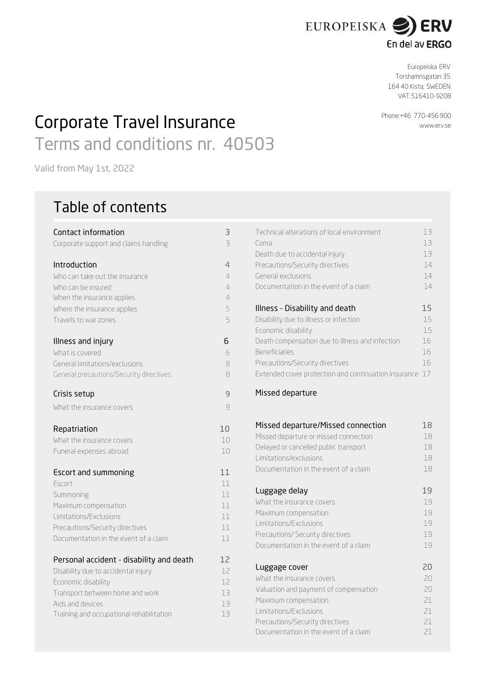

Europeiska ERV Torshamnsgatan 35 164 40 Kista, SWEDEN VAT: 516410-9208

Phone:+46 770-456 900

[www.erv.s](http://www.erv.dk/)e

Corporate Travel Insurance Terms and conditions nr. 40503

Valid from May 1st, 2022

# Table of contents

| Contact information                      | З                       |
|------------------------------------------|-------------------------|
| Corporate support and claims handling    | $\overline{\mathbf{B}}$ |
| Introduction                             | 4                       |
| Who can take out the insurance           | 4                       |
| Who can be insured                       | $\overline{4}$          |
| When the insurance applies               | $\overline{4}$          |
| Where the insurance applies              | 5                       |
| Travels to war zones                     | 5                       |
| Illness and injury                       | 6                       |
| What is covered                          | 6                       |
| General limitations/exclusions           | 8                       |
| General precautions/Security directives  | 8                       |
| Crisis setup                             | $\overline{9}$          |
| What the insurance covers                | 9                       |
| Repatriation                             | 10                      |
| What the insurance covers                | 10                      |
| Funeral expenses abroad                  | 10                      |
| <b>Escort and summoning</b>              | 11                      |
| Escort                                   | 11                      |
| Summoning                                | 11                      |
| Maximum compensation                     | 11                      |
| Limitations/Exclusions                   | 11                      |
| Precautions/Security directives          | 11                      |
| Documentation in the event of a claim    | 11                      |
| Personal accident - disability and death | 12                      |
| Disability due to accidental injury      | 12                      |
| Economic disability                      | 12                      |
| Transport between home and work          | 13                      |
| Aids and devices                         | 13                      |
| Training and occupational rehabilitation | 13                      |

| Contact information                     | 3              | Technical alterations of local environment              | 13 |
|-----------------------------------------|----------------|---------------------------------------------------------|----|
| Corporate support and claims handling   | 3              | Coma                                                    | 13 |
|                                         |                | Death due to accidental injury                          | 13 |
| Introduction                            | $\overline{4}$ | Precautions/Security directives                         | 14 |
| Who can take out the insurance          | 4              | General exclusions                                      | 14 |
| Who can be insured                      | 4              | Documentation in the event of a claim                   | 14 |
| When the insurance applies              | 4              |                                                         |    |
| Where the insurance applies             | 5              | Illness - Disability and death                          | 15 |
| Travels to war zones                    | 5              | Disability due to illness or infection                  | 15 |
|                                         |                | Economic disability                                     | 15 |
| Illness and injury                      | 6              | Death compensation due to illness and infection         | 16 |
| What is covered                         | 6              | <b>Beneficiaries</b>                                    | 16 |
| General limitations/exclusions          | 8              | Precautions/Security directives                         | 16 |
| General precautions/Security directives | 8              | Extended cover protection and continuation insurance 17 |    |
|                                         |                |                                                         |    |

# 9 Missed departure

| Missed departure/Missed connection    | 18 |
|---------------------------------------|----|
| Missed departure or missed connection | 18 |
| Delayed or cancelled public transport | 18 |
| Limitations/exclusions                | 18 |
| Documentation in the event of a claim | 18 |
| Luggage delay                         | 19 |
| What the insurance covers             | 19 |
| Maximum compensation                  | 19 |
| Limitations/Exclusions                | 19 |
| Precautions/ Security directives      | 19 |
| Documentation in the event of a claim | 19 |
| Luggage cover                         | 20 |
| What the insurance covers             | 20 |
| Valuation and payment of compensation | 20 |
| Maximum compensation                  | 21 |
| Limitations/Exclusions                | 21 |
| Precautions/Security directives       | 21 |
| Documentation in the event of a claim | 21 |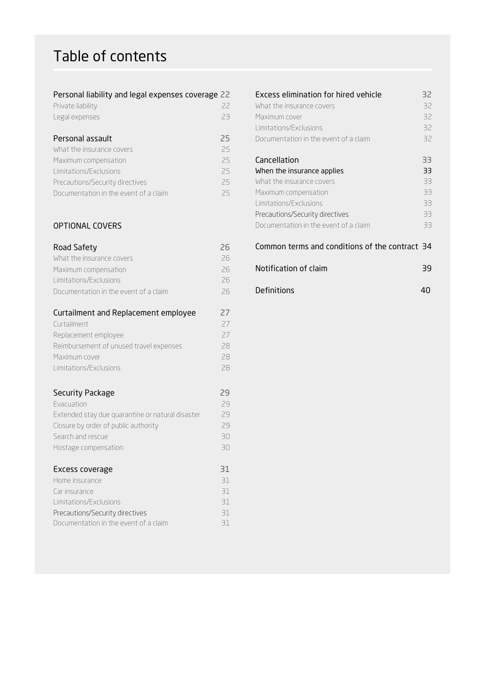# Table of contents

# Personal liability and legal expenses coverage 22

| Private liability |  |  |
|-------------------|--|--|
| Legal expenses.   |  |  |

# Personal assault 25

| What the insurance covers             | 25 |
|---------------------------------------|----|
| Maximum compensation                  | 25 |
| Limitations/Exclusions                | 25 |
| Precautions/Security directives       | 25 |
| Documentation in the event of a claim | 25 |

# OPTIONAL COVERS

| Road Safety<br>What the insurance covers         | 26<br>26 | Common terms and conditions of the contract 34 |    |  |
|--------------------------------------------------|----------|------------------------------------------------|----|--|
| Maximum compensation<br>Limitations/Exclusions   | 26<br>26 | Notification of claim                          | 39 |  |
| Documentation in the event of a claim            | 26       | Definitions                                    | 40 |  |
| Curtailment and Replacement employee             | 27       |                                                |    |  |
| Curtailment                                      | 27       |                                                |    |  |
| Replacement employee                             | 27       |                                                |    |  |
| Reimbursement of unused travel expenses          | 28       |                                                |    |  |
| Maximum cover                                    | 28       |                                                |    |  |
| Limitations/Exclusions                           | 28       |                                                |    |  |
| Security Package                                 | 29       |                                                |    |  |
| Evacuation                                       | 29       |                                                |    |  |
| Extended stay due quarantine or natural disaster | 29       |                                                |    |  |
| Closure by order of public authority             | 29       |                                                |    |  |
| Search and rescue                                | 30       |                                                |    |  |
| Hostage compensation                             | 30       |                                                |    |  |
| Excess coverage                                  | 31       |                                                |    |  |
| Home insurance                                   | 31       |                                                |    |  |

| Home insurance                        | 31 |
|---------------------------------------|----|
| Car insurance                         | 31 |
| Limitations/Exclusions                | 31 |
| Precautions/Security directives       | 31 |
| Documentation in the event of a claim | 31 |

| Personal liability and legal expenses coverage 22 |    | Excess elimination for hired vehicle<br>32     |    |  |
|---------------------------------------------------|----|------------------------------------------------|----|--|
| Private liability                                 | 22 | What the insurance covers                      | 32 |  |
| Legal expenses                                    | 23 | Maximum cover                                  | 32 |  |
|                                                   |    | Limitations/Exclusions                         | 32 |  |
| Personal assault                                  | 25 | Documentation in the event of a claim          | 32 |  |
| What the insurance covers                         | 25 |                                                |    |  |
| Maximum compensation                              | 25 | Cancellation                                   | 33 |  |
| Limitations/Exclusions                            | 25 | When the insurance applies                     | 33 |  |
| Precautions/Security directives                   | 25 | What the insurance covers                      | 33 |  |
| Documentation in the event of a claim             | 25 | Maximum compensation                           | 33 |  |
|                                                   |    | Limitations/Exclusions                         | 33 |  |
|                                                   |    | Precautions/Security directives                | 33 |  |
| <b>OPTIONAL COVERS</b>                            |    | Documentation in the event of a claim          | 33 |  |
| Road Safety                                       | 26 | Common terms and conditions of the contract 34 |    |  |

| .                                      | __ |                       |    |
|----------------------------------------|----|-----------------------|----|
| What the insurance covers .            |    |                       |    |
| Maximum compensation                   |    | Notification of claim | 39 |
| l imitations/Exclusions I              |    |                       |    |
| Decumentation in the quent of a claim. |    | <b>Definitions</b>    |    |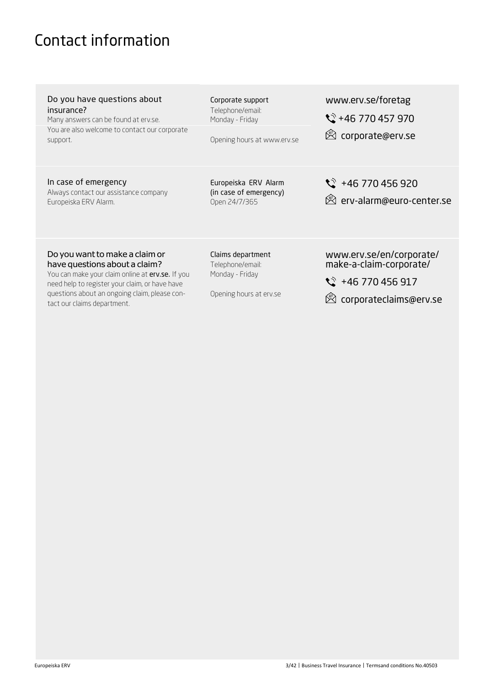# <span id="page-2-0"></span>Contact information

| Do you have questions about<br>insurance?<br>Many answers can be found at erv.se.<br>You are also welcome to contact our corporate<br>support. | Corporate support<br>Telephone/email:<br>Monday - Friday<br>Opening hours at www.erv.se | www.erv.se/foretag<br>$\sqrt{}$ +46 770 457 970<br><sup>2</sup> corporate@erv.se |
|------------------------------------------------------------------------------------------------------------------------------------------------|-----------------------------------------------------------------------------------------|----------------------------------------------------------------------------------|
| In case of emergency<br>Always contact our assistance company<br>Europeiska ERV Alarm.                                                         | Europeiska ERV Alarm<br>(in case of emergency)<br>Open 24/7/365                         | $\sqrt{}$ +46 770 456 920<br>@ erv-alarm@euro-center.se                          |

# Do you want to make a claim or have questions about a claim?

You can make your claim online at **erv.se.** If you need help to register your claim, or have have questions about an ongoing claim, please contact our claims department.

Claims department Telephone/email: Monday - Friday

Opening hours at erv.se

[www.erv.se/en/corporate/](http://www.erv.se/en/corporate/) make-a-claim-corporate/

 $\sqrt{}$  +46 770 456 917

[corporateclaims@erv.se](mailto:corporateclaims@erv.se)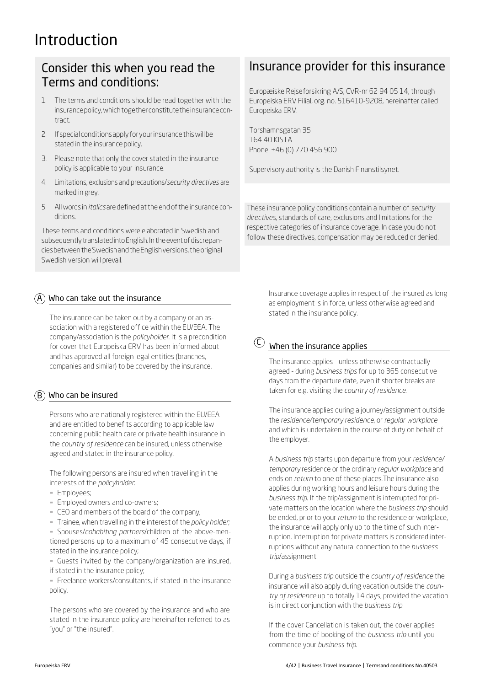# Introduction

# Consider this when you read the Terms and conditions:

- 1. The terms and conditions should be read together with the insurancepolicy,whichtogetherconstitutetheinsurancecontract.
- 2. If special conditions apply for your insurance this will be stated in the insurance policy.
- 3. Please note that only the cover stated in the insurance policy is applicable to your insurance.
- 4. Limitations, exclusions and precautions/*security directives* are marked in grey.
- 5. Allwords in *italics* aredefined atthe end ofthe insurance conditions.

These terms and conditions were elaborated in Swedish and subsequentlytranslatedintoEnglish. IntheeventofdiscrepanciesbetweentheSwedishandtheEnglishversions, theoriginal Swedish version will prevail.

# Who can take out the insurance A

The insurance can be taken out by a company or an association with a registered office within the EU/EEA. The company/association is the *policyholder*. It is a precondition for cover that Europeiska ERV has been informed about  $\mathbb{U}$  When the insurance applies and has approved all foreign legal entities (branches, companies and similar) to be covered by the insurance.

# Who can be insured B

Persons who are nationally registered within the EU/EEA and are entitled to benefits according to applicable law concerning public health care or private health insurance in the *country of residence* can be insured, unless otherwise agreed and stated in the insurance policy.

The following persons are insured when travelling in the interests of the *policyholder*:

- Employees;
- **Employed owners and co-owners;**
- CEO and members of the board of the company;
- **E** Trainee, when travelling in the interest of the *policy holder;*

▪ Spouses/*cohabiting partners*/children of the above-mentioned persons up to a maximum of 45 consecutive days, if stated in the insurance policy;

- Guests invited by the company/organization are insured, if stated in the insurance policy;

**Freelance workers/consultants, if stated in the insurance** policy.

The persons who are covered by the insurance and who are stated in the insurance policy are hereinafter referred to as "you" or "the insured".

# Insurance provider for this insurance

Europæiske Rejseforsikring A/S, CVR-nr 62 94 05 14, through Europeiska ERV Filial, org. no. 516410-9208, hereinafter called Europeiska ERV.

Torshamnsgatan 35 164 40 KISTA Phone: +46 (0) 770 456 900

Supervisory authority is the Danish Finanstilsynet.

These insurance policy conditions contain a number of *security directives*, standards of care, exclusions and limitations for the respective categories of insurance coverage. In case you do not follow these directives, compensation may be reduced or denied.

> Insurance coverage applies in respect of the insured as long as employment is in force, unless otherwise agreed and stated in the insurance policy.

# $\circled{c}$

The insurance applies – unless otherwise contractually agreed - during *business trips* for up to 365 consecutive days from the departure date, even if shorter breaks are taken for e.g. visiting the *country of residence*.

The insurance applies during a journey/assignment outside the *residence/temporary residence*, or *regular workplace*  and which is undertaken in the course of duty on behalf of the employer.

A *business trip* starts upon departure from your *residence/ temporary* residence or the ordinary *regular workplace* and ends on *return* to one of these places.The insurance also applies during working hours and leisure hours during the *business trip*. If the trip/assignment is interrupted for private matters on the location where the *business trip* should be ended, prior to your *return* to the residence or workplace, the insurance will apply only up to the time of such interruption. Interruption for private matters is considered interruptions without any natural connection to the *business trip*/assignment.

During a *business trip* outside the *country of residence* the insurance will also apply during vacation outside the *country of residence* up to totally 14 days, provided the vacation is in direct conjunction with the *business trip*.

If the cover Cancellation is taken out, the cover applies from the time of booking of the *business trip* until you commence your *business trip*.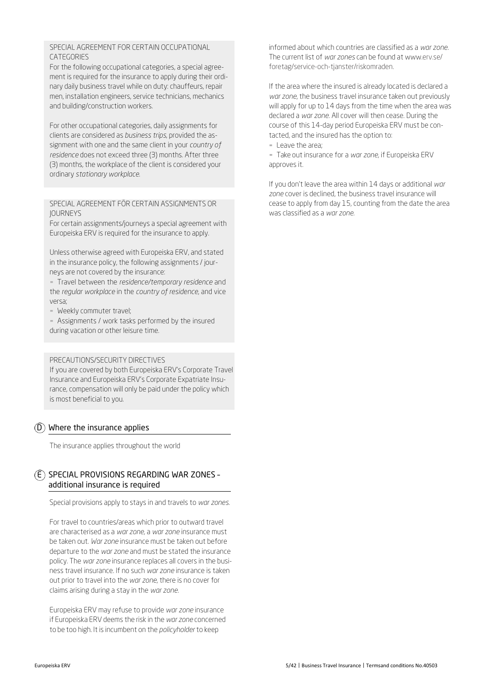# SPECIAL AGREEMENT FOR CERTAIN OCCUPATIONAL **CATEGORIES**

For the following occupational categories, a special agreement is required for the insurance to apply during their ordinary daily business travel while on duty: chauffeurs, repair men, installation engineers, service technicians, mechanics and building/construction workers.

For other occupational categories, daily assignments for clients are considered as *business trips*, provided the assignment with one and the same client in your *country of residence* does not exceed three (3) months. After three (3) months, the workplace of the client is considered your ordinary *stationary workplace*.

#### SPECIAL AGREEMENT FÖR CERTAIN ASSIGNMENTS OR JOURNEYS

For certain assignments/journeys a special agreement with Europeiska ERV is required for the insurance to apply.

Unless otherwise agreed with Europeiska ERV, and stated in the insurance policy, the following assignments / journeys are not covered by the insurance:

▪ Travel between the *residence/temporary residence* and the *regular workplace* in the *country of residence*, and vice versa;

- Weekly commuter travel;

- Assignments / work tasks performed by the insured during vacation or other leisure time.

#### PRECAUTIONS/SECURITY DIRECTIVES

If you are covered by both Europeiska ERV's Corporate Travel Insurance and Europeiska ERV's Corporate Expatriate Insurance, compensation will only be paid under the policy which is most beneficial to you.

# Where the insurance applies D

The insurance applies throughout the world

# E) SPECIAL PROVISIONS REGARDING WAR ZONES additional insurance is required

Special provisions apply to stays in and travels to *war zones.*

For travel to countries/areas which prior to outward travel are characterised as a *war zone*, a *war zone* insurance must be taken out. *War zone* insurance must be taken out before departure to the *war zone* and must be stated the insurance policy. The *war zone* insurance replaces all covers in the business travel insurance. If no such *war zone* insurance is taken out prior to travel into the *war zone*, there is no cover for claims arising during a stay in the *war zone.*

Europeiska ERV may refuse to provide *war zone* insurance if Europeiska ERV deems the risk in the *war zone* concerned to be too high. It is incumbent on the *policyholder* to keep

informed about which countries are classified as a *war zone.* The current list of *war zones* can be found at www.erv.se/ foretag/service-och-tjanster/riskomraden.

If the area where the insured is already located is declared a *war zone*, the business travel insurance taken out previously will apply for up to 14 days from the time when the area was declared a *war zone.* All cover will then cease. During the course of this 14-day period Europeiska ERV must be contacted, and the insured has the option to:

▪ Leave the area;

▪ Take out insurance for a *war zone*, if Europeiska ERV approves it.

If you don't leave the area within 14 days or additional *war zone* cover is declined, the business travel insurance will cease to apply from day 15, counting from the date the area was classified as a *war zone*.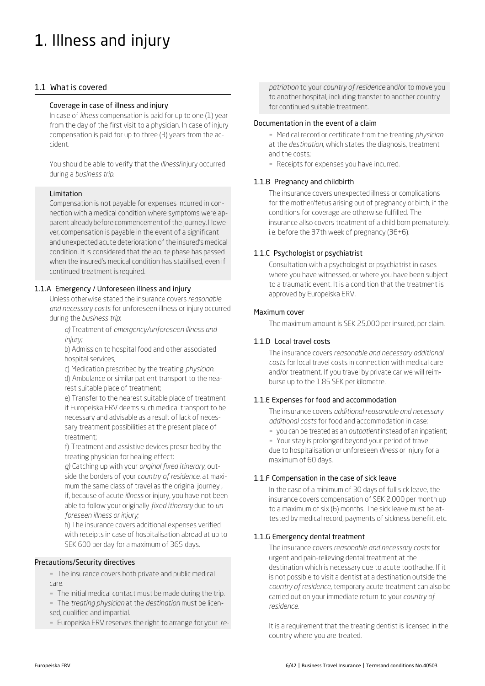# 1. Illness and injury

# 1.1 What is covered

#### Coverage in case of illness and injury

In case of *illness* compensation is paid for up to one (1) year from the day of the first visit to a physician. In case of injury compensation is paid for up to three (3) years from the accident.

You should be able to verify that the *illness*/injury occurred during a *business trip.*

# Limitation

Compensation is not payable for expenses incurred in connection with a medical condition where symptoms were apparent already before commencement of the journey. However, compensation is payable in the event of a significant and unexpected acute deterioration of the insured's medical condition. It is considered that the acute phase has passed when the insured's medical condition has stabilised, even if continued treatment is required.

#### 1.1.A Emergency / Unforeseen illness and injury

Unless otherwise stated the insurance covers *reasonable and necessary costs* for unforeseen illness or injury occurred during the *business trip*:

*a)* Treatment of *emergency/unforeseen illness and injury;*

b) Admission to hospital food and other associated hospital services;

c) Medication prescribed by the treating *physician*.

d) Ambulance or similar patient transport to the nearest suitable place of treatment;

e) Transfer to the nearest suitable place of treatment if Europeiska ERV deems such medical transport to be necessary and advisable as a result of lack of necessary treatment possibilities at the present place of treatment;

f) Treatment and assistive devices prescribed by the treating physician for healing effect;

*g)* Catching up with your *original fixed itinerary,* outside the borders of your *country of residence*, at maximum the same class of travel as the original journey , if, because of acute *illness* or injury, you have not been able to follow your originally *fixed itinerary* due to *unforeseen illness or injury;*

h) The insurance covers additional expenses verified with receipts in case of hospitalisation abroad at up to SEK 600 per day for a maximum of 365 days.

# Precautions/Security directives

- The insurance covers both private and public medical care.

- The initial medical contact must be made during the trip.

▪ The *treating physician* at the *destination* must be licensed, qualified and impartial.

▪ Europeiska ERV reserves the right to arrange for your *re-*

*patriation* to your *country of residence* and/or to move you to another hospital, including transfer to another country for continued suitable treatment.

#### Documentation in the event of a claim

▪ Medical record or certificate from the treating *physician*  at the *destination*, which states the diagnosis, treatment and the costs;

**-** Receipts for expenses you have incurred.

# 1.1.B Pregnancy and childbirth

The insurance covers unexpected illness or complications for the mother/fetus arising out of pregnancy or birth, if the conditions for coverage are otherwise fulfilled. The insurance allso covers treatment of a child born prematurely. i.e. before the 37th week of pregnancy (36+6).

# 1.1.C Psychologist or psychiatrist

Consultation with a psychologist or psychiatrist in cases where you have witnessed, or where you have been subject to a traumatic event. It is a condition that the treatment is approved by Europeiska ERV.

#### Maximum cover

The maximum amount is SEK 25,000 per insured, per claim.

#### 1.1.D Local travel costs

The insurance covers *reasonable and necessary additional costs* for local travel costs in connection with medical care and/or treatment. If you travel by private car we will reimburse up to the 1.85 SEK per kilometre.

# 1.1.E Expenses for food and accommodation

The insurance covers *additional reasonable and necessary additional costs* for food and accommodation in case:

▪ you can be treated as an *outpatient*instead of an inpatient;

- Your stay is prolonged beyond your period of travel due to hospitalisation or unforeseen *illness* or injury for a maximum of 60 days.

# 1.1.F Compensation in the case of sick leave

In the case of a minimum of 30 days of full sick leave, the insurance covers compensation of SEK 2,000 per month up to a maximum of six (6) months. The sick leave must be attested by medical record, payments of sickness benefit, etc.

# 1.1.G Emergency dental treatment

The insurance covers *reasonable and necessary costs* for urgent and pain-relieving dental treatment at the destination which is necessary due to acute toothache. If it is not possible to visit a dentist at a destination outside the *country of residence,* temporary acute treatment can also be carried out on your immediate return to your *country of residence.*

It is a requirement that the treating dentist is licensed in the country where you are treated.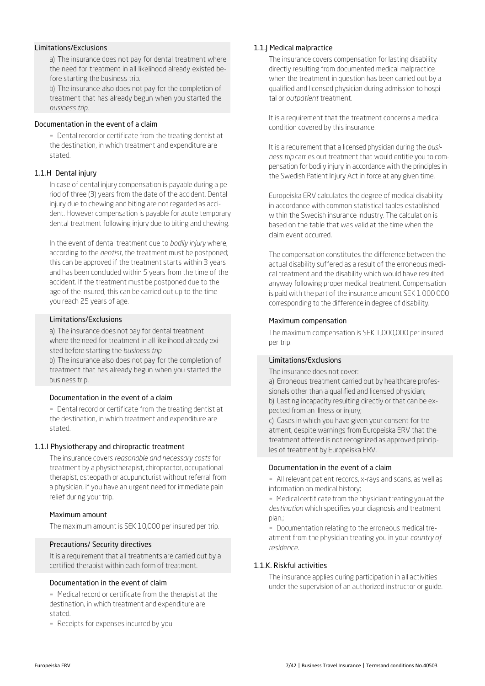#### Limitations/Exclusions

a) The insurance does not pay for dental treatment where the need for treatment in all likelihood already existed before starting the business trip.

b) The insurance also does not pay for the completion of treatment that has already begun when you started the *business trip*.

#### Documentation in the event of a claim

▪ Dental record or certificate from the treating dentist at the destination, in which treatment and expenditure are stated.

#### 1.1.H Dental injury

In case of dental injury compensation is payable during a period of three (3) years from the date of the accident. Dental injury due to chewing and biting are not regarded as accident. However compensation is payable for acute temporary dental treatment following injury due to biting and chewing.

In the event of dental treatment due to *bodily injury* where, according to the *dentist*, the treatment must be postponed; this can be approved if the treatment starts within 3 years and has been concluded within 5 years from the time of the accident. If the treatment must be postponed due to the age of the insured, this can be carried out up to the time you reach 25 years of age.

#### Limitations/Exclusions

a) The insurance does not pay for dental treatment where the need for treatment in all likelihood already existed before starting the *business trip*.

b) The insurance also does not pay for the completion of treatment that has already begun when you started the business trip.

#### Documentation in the event of a claim

▪ Dental record or certificate from the treating dentist at the destination, in which treatment and expenditure are stated.

#### 1.1.I Physiotherapy and chiropractic treatment

The insurance covers *reasonable and necessary costs* for treatment by a physiotherapist, chiropractor, occupational therapist, osteopath or acupuncturist without referral from a physician, if you have an urgent need for immediate pain relief during your trip.

#### Maximum amount

The maximum amount is SEK 10,000 per insured per trip.

#### Precautions/ Security directives

It is a requirement that all treatments are carried out by a certified therapist within each form of treatment.

#### Documentation in the event of claim

▪ Medical record or certificate from the therapist at the destination, in which treatment and expenditure are stated.

- Receipts for expenses incurred by you.

#### 1.1.J Medical malpractice

The insurance covers compensation for lasting disability directly resulting from documented medical malpractice when the treatment in question has been carried out by a qualified and licensed physician during admission to hospital or *outpatient* treatment.

It is a requirement that the treatment concerns a medical condition covered by this insurance.

It is a requirement that a licensed physician during the *business trip* carries out treatment that would entitle you to compensation for bodily injury in accordance with the principles in the Swedish Patient Injury Act in force at any given time.

Europeiska ERV calculates the degree of medical disability in accordance with common statistical tables established within the Swedish insurance industry. The calculation is based on the table that was valid at the time when the claim event occurred.

The compensation constitutes the difference between the actual disability suffered as a result of the erroneous medical treatment and the disability which would have resulted anyway following proper medical treatment. Compensation is paid with the part of the insurance amount SEK 1 000 000 corresponding to the difference in degree of disability.

#### Maximum compensation

The maximum compensation is SEK 1,000,000 per insured per trip.

#### Limitations/Exclusions

The insurance does not cover:

a) Erroneous treatment carried out by healthcare professionals other than a qualified and licensed physician; b) Lasting incapacity resulting directly or that can be expected from an illness or injury;

c) Cases in which you have given your consent for treatment, despite warnings from Europeiska ERV that the treatment offered is not recognized as approved principles of treatment by Europeiska ERV.

#### Documentation in the event of a claim

- All relevant patient records, x-rays and scans, as well as information on medical history;

- Medical certificate from the physician treating you at the *destination* which specifies your diagnosis and treatment plan.;

▪ Documentation relating to the erroneous medical treatment from the physician treating you in your *country of residence.*

### 1.1.K. Riskful activities

The insurance applies during participation in all activities under the supervision of an authorized instructor or guide.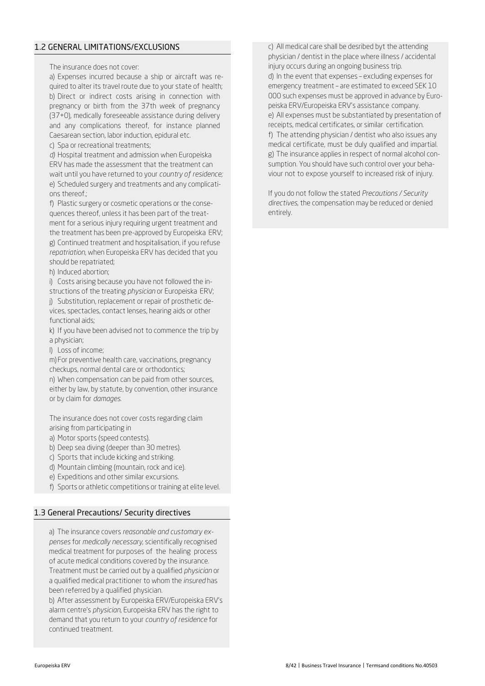# 1.2 GENERAL LIMITATIONS/EXCLUSIONS

The insurance does not cover:

a) Expenses incurred because a ship or aircraft was required to alter its travel route due to your state of health; b) Direct or indirect costs arising in connection with pregnancy or birth from the 37th week of pregnancy (37+0), medically foreseeable assistance during delivery and any complications thereof, for instance planned Caesarean section, labor induction, epidural etc.

c) Spa or recreational treatments;

*d)* Hospital treatment and admission when Europeiska ERV has made the assessment that the treatment can wait until you have returned to your *country of residence;* e) Scheduled surgery and treatments and any complications thereof.;

f) Plastic surgery or cosmetic operations or the consequences thereof, unless it has been part of the treatment for a serious injury requiring urgent treatment and the treatment has been pre-approved by Europeiska ERV; g) Continued treatment and hospitalisation, if you refuse *repatriation*, when Europeiska ERV has decided that you should be repatriated;

h) Induced abortion;

i) Costs arising because you have not followed the instructions of the treating *physician* or Europeiska ERV;

j) Substitution, replacement or repair of prosthetic devices, spectacles, contact lenses, hearing aids or other functional aids;

k) If you have been advised not to commence the trip by a physician;

l) Loss of income;

m)For preventive health care, vaccinations, pregnancy checkups, normal dental care or orthodontics;

n) When compensation can be paid from other sources, either by law, by statute, by convention, other insurance or by claim for *damages*.

The insurance does not cover costs regarding claim arising from participating in

- a) Motor sports (speed contests).
- b) Deep sea diving (deeper than 30 metres).
- c) Sports that include kicking and striking.
- d) Mountain climbing (mountain, rock and ice).
- e) Expeditions and other similar excursions.
- f) Sports or athletic competitions or training at elite level.

# 1.3 General Precautions/ Security directives

a) The insurance covers *reasonable and customary expenses* for *medically necessary*, scientifically recognised medical treatment for purposes of the healing process of acute medical conditions covered by the insurance. Treatment must be carried out by a qualified *physician* or a qualified medical practitioner to whom the *insured* has been referred by a qualified physician.

b) After assessment by Europeiska ERV/Europeiska ERV's alarm centre's *physician*, Europeiska ERV has the right to demand that you return to your *country of residence* for continued treatment.

c) All medical care shall be desribed byt the attending physician / dentist in the place where illness / accidental injury occurs during an ongoing business trip. d) In the event that expenses – excluding expenses for emergency treatment – are estimated to exceed SEK 10 000 such expenses must be approved in advance by Europeiska ERV/Europeiska ERV's assistance company. e) All expenses must be substantiated by presentation of receipts, medical certificates, or similar certification. f) The attending physician / dentist who also issues any medical certificate, must be duly qualified and impartial. g) The insurance applies in respect of normal alcohol consumption. You should have such control over your behaviour not to expose yourself to increased risk of injury.

If you do not follow the stated *Precautions / Security directives*, the compensation may be reduced or denied entirely.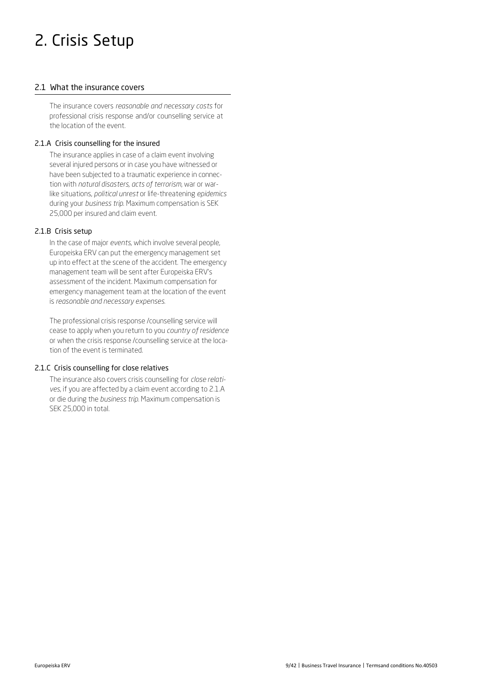# 2. Crisis Setup

# 2.1 What the insurance covers

The insurance covers *reasonable and necessary costs* for professional crisis response and/or counselling service at the location of the event.

# 2.1.A Crisis counselling for the insured

The insurance applies in case of a claim event involving several injured persons or in case you have witnessed or have been subjected to a traumatic experience in connection with *natural disasters, acts of terrorism*, war or warlike situations, *political unrest* or life-threatening *epidemics*  during your *business trip*. Maximum compensation is SEK 25,000 per insured and claim event.

# 2.1.B Crisis setup

In the case of major *events*, which involve several people, Europeiska ERV can put the emergency management set up into effect at the scene of the accident. The emergency management team will be sent after Europeiska ERV's assessment of the incident. Maximum compensation for emergency management team at the location of the event is *reasonable and necessary expenses.*

The professional crisis response /counselling service will cease to apply when you return to you *country of residence*  or when the crisis response /counselling service at the location of the event is terminated.

# 2.1.C Crisis counselling for close relatives

The insurance also covers crisis counselling for *close relatives*, if you are affected by a claim event according to 2.1.A or die during the *business trip*. Maximum compensation is SEK 25,000 in total.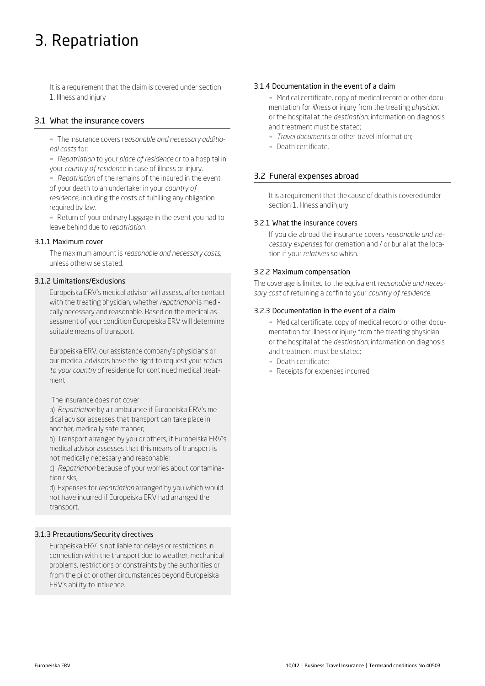# 3. Repatriation

It is a requirement that the claim is covered under section 1. Illness and injury

# 3.1 What the insurance covers

▪ The insurance covers r*easonable and necessary additional costs* for:

▪ *Repatriation* to your *place of residence* or to a hospital in your *country of residence* in case of illness or injury.

▪ *Repatriation* of the remains of the insured in the event of your death to an undertaker in your *country of residence,* including the costs of fulfilling any obligation required by law.

▪ Return of your ordinary luggage in the event you had to leave behind due to *repatriation*.

# 3.1.1 Maximum cover

The maximum amount is *reasonable and necessary costs*, unless otherwise stated.

#### 3.1.2 Limitations/Exclusions

Europeiska ERV's medical advisor will assess, after contact with the treating physician, whether *repatriation* is medically necessary and reasonable. Based on the medical assessment of your condition Europeiska ERV will determine suitable means of transport.

Europeiska ERV, our assistance company's physicians or our medical advisors have the right to request your *return to your country* of residence for continued medical treatment.

The insurance does not cover:

a) *Repatriation* by air ambulance if Europeiska ERV's medical advisor assesses that transport can take place in another, medically safe manner;

b) Transport arranged by you or others, if Europeiska ERV's medical advisor assesses that this means of transport is not medically necessary and reasonable;

c) *Repatriation* because of your worries about contamination risks;

d) Expenses for *repatriation* arranged by you which would not have incurred if Europeiska ERV had arranged the transport.

# 3.1.3 Precautions/Security directives

Europeiska ERV is not liable for delays or restrictions in connection with the transport due to weather, mechanical problems, restrictions or constraints by the authorities or from the pilot or other circumstances beyond Europeiska ERV's ability to influence.

#### 3.1.4 Documentation in the event of a claim

- Medical certificate, copy of medical record or other documentation for *illness* or injury from the treating *physician* or the hospital at the *destination*; information on diagnosis and treatment must be stated;

- *Travel documents* or other travel information;
- Death certificate.

# 3.2 Funeral expenses abroad

It is a requirement that the cause of death is covered under section 1. Illness and injury.

#### 3.2.1 What the insurance covers

If you die abroad the insurance covers *reasonable and necessary expenses* for cremation and / or burial at the location if your *relatives* so whish.

#### 3.2.2 Maximum compensation

The coverage is limited to the equivalent *reasonable and necessary cost* of returning a coffin to your *country of residence.*

#### 3.2.3 Documentation in the event of a claim

- Medical certificate, copy of medical record or other documentation for illness or injury from the treating physician or the hospital at the *destination*; information on diagnosis and treatment must be stated;

- **Death certificate;**
- Receipts for expenses incurred.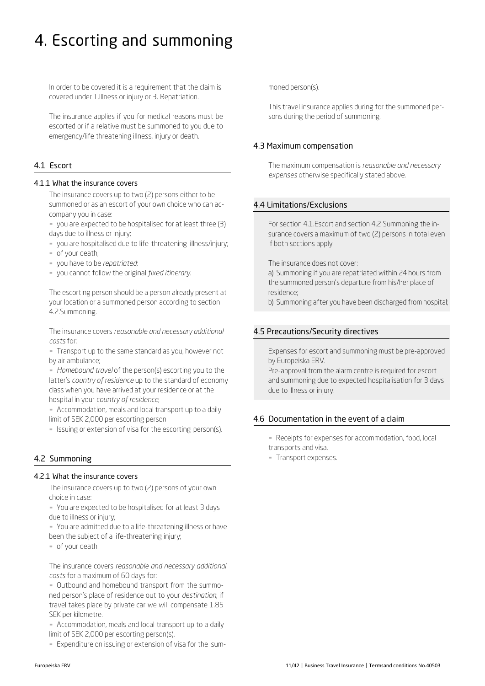# 4. Escorting and summoning

In order to be covered it is a requirement that the claim is covered under 1.Illness or injury or 3. Repatriation.

The insurance applies if you for medical reasons must be escorted or if a relative must be summoned to you due to emergency/life threatening illness, injury or death.

# 4.1 Escort

#### 4.1.1 What the insurance covers

The insurance covers up to two (2) persons either to be summoned or as an escort of your own choice who can accompany you in case:

- you are expected to be hospitalised for at least three (3) days due to illness or injury;
- you are hospitalised due to life-threatening illness/injury;
- of your death;
- you have to be *repatriated*;
- you cannot follow the original *fixed itinerary.*

The escorting person should be a person already present at your location or a summoned person according to section 4.2.Summoning.

The insurance covers *reasonable and necessary additional costs* for:

▪ Transport up to the same standard as you, however not by air ambulance;

▪ *Homebound travel* of the person(s) escorting you to the latter's *country of residence* up to the standard of economy class when you have arrived at your residence or at the hospital in your *country of residence*;

- Accommodation, meals and local transport up to a daily limit of SEK 2,000 per escorting person

- Issuing or extension of visa for the escorting person(s).

# 4.2 Summoning

#### 4.2.1 What the insurance covers

The insurance covers up to two (2) persons of your own choice in case:

▪ You are expected to be hospitalised for at least 3 days due to illness or injury;

- You are admitted due to a life-threatening illness or have been the subject of a life-threatening injury;

▪ of your death.

The insurance covers *reasonable and necessary additional costs* for a maximum of 60 days for:

▪ Outbound and homebound transport from the summoned person's place of residence out to your *destination*; if travel takes place by private car we will compensate 1.85 SEK per kilometre.

- Accommodation, meals and local transport up to a daily limit of SEK 2,000 per escorting person(s).

- Expenditure on issuing or extension of visa for the sum-

moned person(s).

This travel insurance applies during for the summoned persons during the period of summoning.

# 4.3 Maximum compensation

The maximum compensation is *reasonable and necessary expenses* otherwise specifically stated above.

# 4.4 Limitations/Exclusions

For section 4.1.Escort and section 4.2 Summoning the insurance covers a maximum of two (2) persons in total even if both sections apply.

The insurance does not cover:

a) Summoning if you are repatriated within 24 hours from the summoned person's departure from his/her place of residence;

b) Summoning after you have been discharged from hospital;

# 4.5 Precautions/Security directives

Expenses for escort and summoning must be pre-approved by Europeiska ERV.

Pre-approval from the alarm centre is required for escort and summoning due to expected hospitalisation for 3 days due to illness or injury.

# 4.6 Documentation in the event of a claim

**-** Receipts for expenses for accommodation, food, local transports and visa.

▪ Transport expenses.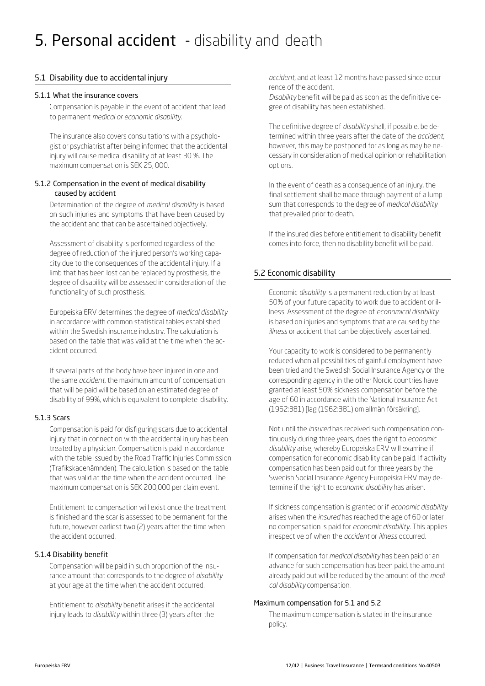# 5. Personal accident - disability and death

# 5.1 Disability due to accidental injury

#### 5.1.1 What the insurance covers

Compensation is payable in the event of accident that lead to permanent *medical or economic disability.*

The insurance also covers consultations with a psychologist or psychiatrist after being informed that the accidental injury will cause medical disability of at least 30 %. The maximum compensation is SEK 25, 000.

### 5.1.2 Compensation in the event of medical disability caused by accident

Determination of the degree of *medical disability* is based on such injuries and symptoms that have been caused by the accident and that can be ascertained objectively.

Assessment of disability is performed regardless of the degree of reduction of the injured person's working capacity due to the consequences of the accidental injury. If a limb that has been lost can be replaced by prosthesis, the degree of disability will be assessed in consideration of the functionality of such prosthesis.

Europeiska ERV determines the degree of *medical disability*  in accordance with common statistical tables established within the Swedish insurance industry. The calculation is based on the table that was valid at the time when the accident occurred.

If several parts of the body have been injured in one and the same *accident*, the maximum amount of compensation that will be paid will be based on an estimated degree of disability of 99%, which is equivalent to complete disability.

# 5.1.3 Scars

Compensation is paid for disfiguring scars due to accidental injury that in connection with the accidental injury has been treated by a physician. Compensation is paid in accordance with the table issued by the Road Traffic Injuries Commission (Trafikskadenämnden). The calculation is based on the table that was valid at the time when the accident occurred. The maximum compensation is SEK 200,000 per claim event.

Entitlement to compensation will exist once the treatment is finished and the scar is assessed to be permanent for the future, however earliest two (2) years after the time when the accident occurred.

# 5.1.4 Disability benefit

Compensation will be paid in such proportion of the insurance amount that corresponds to the degree of *disability*  at your age at the time when the accident occurred.

Entitlement to *disability* benefit arises if the accidental injury leads to *disability* within three (3) years after the *accident*, and at least 12 months have passed since occurrence of the accident.

*Disability* benefit will be paid as soon as the definitive degree of disability has been established.

The definitive degree of *disability* shall, if possible, be determined within three years after the date of the *accident*, however, this may be postponed for as long as may be necessary in consideration of medical opinion or rehabilitation options.

In the event of death as a consequence of an injury, the final settlement shall be made through payment of a lump sum that corresponds to the degree of *medical disability*  that prevailed prior to death.

If the insured dies before entitlement to disability benefit comes into force, then no disability benefit will be paid.

# 5.2 Economic disability

Economic *disability* is a permanent reduction by at least 50% of your future capacity to work due to accident or illness. Assessment of the degree of *economical disability*  is based on injuries and symptoms that are caused by the *illness* or accident that can be objectively ascertained.

Your capacity to work is considered to be permanently reduced when all possibilities of gainful employment have been tried and the Swedish Social Insurance Agency or the corresponding agency in the other Nordic countries have granted at least 50% sickness compensation before the age of 60 in accordance with the National Insurance Act (1962:381) [lag (1962:381) om allmän försäkring].

Not until the *insured* has received such compensation continuously during three years, does the right to *economic disability* arise, whereby Europeiska ERV will examine if compensation for economic disability can be paid. If activity compensation has been paid out for three years by the Swedish Social Insurance Agency Europeiska ERV may determine if the right to *economic disability* has arisen.

If sickness compensation is granted or if *economic disability*  arises when the *insured* has reached the age of 60 or later no compensation is paid for *economic disability*. This applies irrespective of when the *accident* or *illness* occurred.

If compensation for *medical disability* has been paid or an advance for such compensation has been paid, the amount already paid out will be reduced by the amount of the *medical disability* compensation.

#### Maximum compensation for 5.1 and 5.2

The maximum compensation is stated in the insurance policy.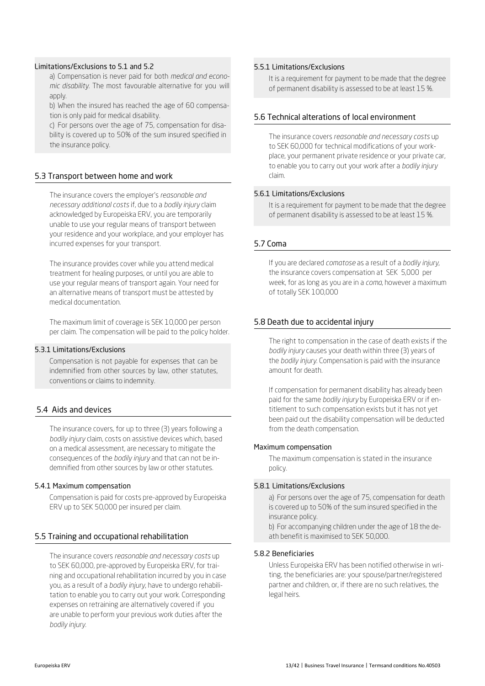#### Limitations/Exclusions to 5.1 and 5.2

a) Compensation is never paid for both *medical and economic disability*. The most favourable alternative for you will apply.

b) When the insured has reached the age of 60 compensation is only paid for medical disability.

c) For persons over the age of 75, compensation for disability is covered up to 50% of the sum insured specified in the insurance policy.

#### 5.3 Transport between home and work

The insurance covers the employer's *reasonable and necessary additional costs* if, due to a *bodily injury* claim acknowledged by Europeiska ERV, you are temporarily unable to use your regular means of transport between your residence and your workplace, and your employer has incurred expenses for your transport.

The insurance provides cover while you attend medical treatment for healing purposes, or until you are able to use your regular means of transport again. Your need for an alternative means of transport must be attested by medical documentation.

The maximum limit of coverage is SEK 10,000 per person per claim. The compensation will be paid to the policy holder.

#### 5.3.1 Limitations/Exclusions

Compensation is not payable for expenses that can be indemnified from other sources by law, other statutes, conventions or claims to indemnity.

#### 5.4 Aids and devices

The insurance covers, for up to three (3) years following a *bodily injury* claim, costs on assistive devices which, based on a medical assessment, are necessary to mitigate the consequences of the *bodily injury* and that can not be indemnified from other sources by law or other statutes.

#### 5.4.1 Maximum compensation

Compensation is paid for costs pre-approved by Europeiska ERV up to SEK 50,000 per insured per claim.

#### 5.5 Training and occupational rehabilitation

The insurance covers *reasonable and necessary costs* up to SEK 60,000, pre-approved by Europeiska ERV, for training and occupational rehabilitation incurred by you in case you, as a result of a *bodily injury*, have to undergo rehabilitation to enable you to carry out your work. Corresponding expenses on retraining are alternatively covered if you are unable to perform your previous work duties after the *bodily injury.*

### 5.5.1 Limitations/Exclusions

It is a requirement for payment to be made that the degree of permanent disability is assessed to be at least 15 %.

#### 5.6 Technical alterations of local environment

The insurance covers *reasonable and necessary costs* up to SEK 60,000 for technical modifications of your workplace, your permanent private residence or your private car, to enable you to carry out your work after a *bodily injury*  claim.

#### 5.6.1 Limitations/Exclusions

It is a requirement for payment to be made that the degree of permanent disability is assessed to be at least 15 %.

#### 5.7 Coma

If you are declared *comatose* as a result of a *bodily injury*, the insurance covers compensation at SEK 5,000 per week, for as long as you are in a *coma*, however a maximum of totally SEK 100,000

#### 5.8 Death due to accidental injury

The right to compensation in the case of death exists if the *bodily injury* causes your death within three (3) years of the *bodily injury*. Compensation is paid with the insurance amount for death.

If compensation for permanent disability has already been paid for the same *bodily injury* by Europeiska ERV or if entitlement to such compensation exists but it has not yet been paid out the disability compensation will be deducted from the death compensation.

#### Maximum compensation

The maximum compensation is stated in the insurance policy.

#### 5.8.1 Limitations/Exclusions

a) For persons over the age of 75, compensation for death is covered up to 50% of the sum insured specified in the insurance policy.

b) For accompanying children under the age of 18 the death benefit is maximised to SEK 50,000.

#### 5.8.2 Beneficiaries

Unless Europeiska ERV has been notified otherwise in writing, the beneficiaries are: your spouse/partner/registered partner and children, or, if there are no such relatives, the legal heirs.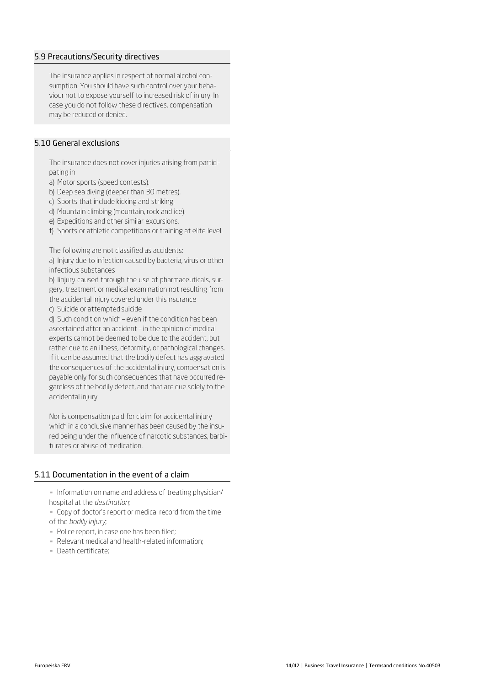#### 5.9 Precautions/Security directives

The insurance applies in respect of normal alcohol consumption. You should have such control over your behaviour not to expose yourself to increased risk of injury. In case you do not follow these directives, compensation may be reduced or denied.

# 5.10 General exclusions

The insurance does not cover injuries arising from participating in

a) Motor sports (speed contests).

b) Deep sea diving (deeper than 30 metres).

c) Sports that include kicking and striking.

d) Mountain climbing (mountain, rock and ice).

e) Expeditions and other similar excursions.

f) Sports or athletic competitions or training at elite level.

The following are not classified as accidents:

a) Injury due to infection caused by bacteria, virus or other infectious substances

b) Iinjury caused through the use of pharmaceuticals, surgery, treatment or medical examination not resulting from the accidental injury covered under thisinsurance

c) Suicide or attempted suicide

d) Such condition which – even if the condition has been ascertained after an accident – in the opinion of medical experts cannot be deemed to be due to the accident, but rather due to an illness, deformity, or pathological changes. If it can be assumed that the bodily defect has aggravated the consequences of the accidental injury, compensation is payable only for such consequences that have occurred regardless of the bodily defect, and that are due solely to the accidental injury.

Nor is compensation paid for claim for accidental injury which in a conclusive manner has been caused by the insured being under the influence of narcotic substances, barbiturates or abuse of medication.

# 5.11 Documentation in the event of a claim

- Information on name and address of treating physician/ hospital at the *destination*;

- Copy of doctor's report or medical record from the time of the *bodily injury*;

- Police report, in case one has been filed;
- Relevant medical and health-related information;
- Death certificate;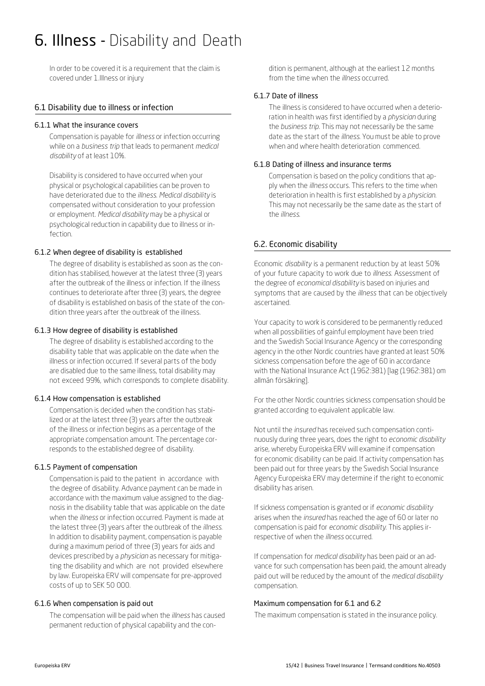# 6. Illness - Disability and Death

In order to be covered it is a requirement that the claim is covered under 1.Illness or injury

#### 6.1 Disability due to illness or infection

#### 6.1.1 What the insurance covers

Compensation is payable for *illness* or infection occurring while on a *business trip* that leads to permanent *medical disability* of at least 10%.

Disability is considered to have occurred when your physical or psychological capabilities can be proven to have deteriorated due to the *illness*. *Medical disability* is compensated without consideration to your profession or employment. *Medical disability* may be a physical or psychological reduction in capability due to illness or infection.

#### 6.1.2 When degree of disability is established

The degree of disability is established as soon as the condition has stabilised, however at the latest three (3) years after the outbreak of the illness or infection. If the illness continues to deteriorate after three (3) years, the degree of disability is established on basis of the state of the condition three years after the outbreak of the illness.

#### 6.1.3 How degree of disability is established

The degree of disability is established according to the disability table that was applicable on the date when the illness or infection occurred. If several parts of the body are disabled due to the same illness, total disability may not exceed 99%, which corresponds to complete disability.

#### 6.1.4 How compensation is established

Compensation is decided when the condition has stabilized or at the latest three (3) years after the outbreak of the illness or infection begins as a percentage of the appropriate compensation amount. The percentage corresponds to the established degree of disability.

#### 6.1.5 Payment of compensation

Compensation is paid to the patient in accordance with the degree of disability. Advance payment can be made in accordance with the maximum value assigned to the diagnosis in the disability table that was applicable on the date when the *illness* or infection occurred. Payment is made at the latest three (3) years after the outbreak of the *illness*. In addition to disability payment, compensation is payable during a maximum period of three (3) years for aids and devices prescribed by a *physician* as necessary for mitigating the disability and which are not provided elsewhere by law. Europeiska ERV will compensate for pre-approved costs of up to SEK 50 000.

#### 6.1.6 When compensation is paid out

The compensation will be paid when the *illness* has caused permanent reduction of physical capability and the condition is permanent, although at the earliest 12 months from the time when the *illness* occurred.

#### 6.1.7 Date of illness

The illness is considered to have occurred when a deterioration in health was first identified by a *physician* during the *business trip*. This may not necessarily be the same date as the start of the *illness*. You must be able to prove when and where health deterioration commenced.

#### 6.1.8 Dating of illness and insurance terms

Compensation is based on the policy conditions that apply when the *illness* occurs. This refers to the time when deterioration in health is first established by a *physician*. This may not necessarily be the same date as the start of the *illness*.

# 6.2. Economic disability

Economic *disability* is a permanent reduction by at least 50% of your future capacity to work due to *illness*. Assessment of the degree of *economical disability* is based on injuries and symptoms that are caused by the *illness* that can be objectively ascertained.

Your capacity to work is considered to be permanently reduced when all possibilities of gainful employment have been tried and the Swedish Social Insurance Agency or the corresponding agency in the other Nordic countries have granted at least 50% sickness compensation before the age of 60 in accordance with the National Insurance Act (1962:381) [lag (1962:381) om allmän försäkring].

For the other Nordic countries sickness compensation should be granted according to equivalent applicable law.

Not until the *insured* has received such compensation continuously during three years, does the right to *economic disability*  arise, whereby Europeiska ERV will examine if compensation for economic disability can be paid. If activity compensation has been paid out for three years by the Swedish Social Insurance Agency Europeiska ERV may determine if the right to economic disability has arisen.

If sickness compensation is granted or if *economic disability*  arises when the *insured* has reached the age of 60 or later no compensation is paid for *economic disability*. This applies irrespective of when the *illness* occurred.

If compensation for *medical disability* has been paid or an advance for such compensation has been paid, the amount already paid out will be reduced by the amount of the *medical disability*  compensation.

#### Maximum compensation for 6.1 and 6.2

The maximum compensation is stated in the insurance policy.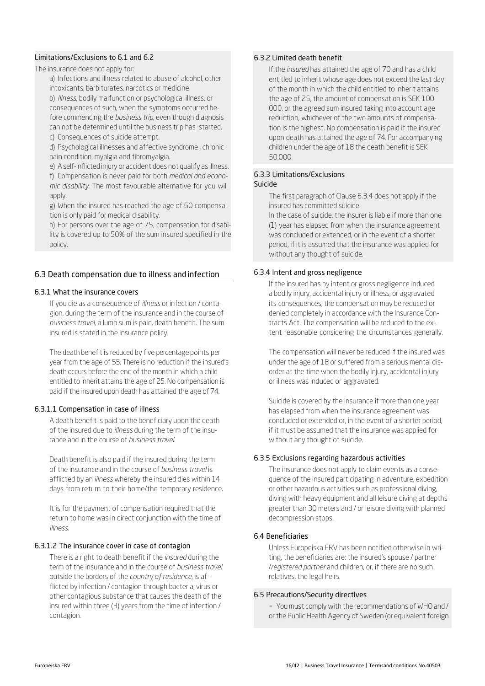#### Limitations/Exclusions to 6.1 and 6.2

The insurance does not apply for:

a) Infections and illness related to abuse of alcohol, other intoxicants, barbiturates, narcotics or medicine b) *Illness*, bodily malfunction or psychological illness, or consequences of such, when the symptoms occurred before commencing the *business trip*, even though diagnosis can not be determined until the business trip has started. c) Consequences of suicide attempt.

d) Psychological illnesses and affective syndrome , chronic pain condition, myalgia and fibromyalgia.

e) A self-inflicted injury or accident does not qualify as illness. f) Compensation is never paid for both *medical and economic disability*. The most favourable alternative for you will apply.

g) When the insured has reached the age of 60 compensation is only paid for medical disability.

h) For persons over the age of 75, compensation for disability is covered up to 50% of the sum insured specified in the policy.

# 6.3 Death compensation due to illness and infection

#### 6.3.1 What the insurance covers

If you die as a consequence of *illness* or infection / contagion, during the term of the insurance and in the course of *business travel,* a lump sum is paid, death benefit. The sum insured is stated in the insurance policy.

The death benefit is reduced by five percentage points per year from the age of 55. There is no reduction if the insured's death occurs before the end of the month in which a child entitled to inherit attains the age of 25. No compensation is paid if the insured upon death has attained the age of 74.

#### 6.3.1.1 Compensation in case of illness

A death benefit is paid to the beneficiary upon the death of the insured due to *illness* during the term of the insurance and in the course of *business travel.*

Death benefit is also paid if the insured during the term of the insurance and in the course of *business travel* is afflicted by an *illness* whereby the insured dies within 14 days from return to their home/the temporary residence.

It is for the payment of compensation required that the return to home was in direct conjunction with the time of *illness*.

#### 6.3.1.2 The insurance cover in case of contagion

There is a right to death benefit if the *insured* during the term of the insurance and in the course of *business travel*  outside the borders of the *country of residence*, is afflicted by infection / contagion through bacteria, virus or other contagious substance that causes the death of the insured within three (3) years from the time of infection / contagion.

# 6.3.2 Limited death benefit

If the *insured* has attained the age of 70 and has a child entitled to inherit whose age does not exceed the last day of the month in which the child entitled to inherit attains the age of 25, the amount of compensation is SEK 100 000, or the agreed sum insured taking into account age reduction, whichever of the two amounts of compensation is the highest. No compensation is paid if the insured upon death has attained the age of 74. For accompanying children under the age of 18 the death benefit is SEK 50,000.

#### 6.3.3 Limitations/Exclusions Suicide

The first paragraph of Clause 6.3.4 does not apply if the insured has committed suicide.

In the case of suicide, the insurer is liable if more than one (1) year has elapsed from when the insurance agreement was concluded or extended, or in the event of a shorter period, if it is assumed that the insurance was applied for without any thought of suicide.

#### 6.3.4 Intent and gross negligence

If the insured has by intent or gross negligence induced a bodily injury, accidental injury or illness, or aggravated its consequences, the compensation may be reduced or denied completely in accordance with the Insurance Contracts Act. The compensation will be reduced to the extent reasonable considering the circumstances generally.

The compensation will never be reduced if the insured was under the age of 18 or suffered from a serious mental disorder at the time when the bodily injury, accidental injury or illness was induced or aggravated.

Suicide is covered by the insurance if more than one year has elapsed from when the insurance agreement was concluded or extended or, in the event of a shorter period, if it must be assumed that the insurance was applied for without any thought of suicide.

#### 6.3.5 Exclusions regarding hazardous activities

The insurance does not apply to claim events as a consequence of the insured participating in adventure, expedition or other hazardous activities such as professional diving, diving with heavy equipment and all leisure diving at depths greater than 30 meters and / or leisure diving with planned decompression stops.

#### 6.4 Beneficiaries

Unless Europeiska ERV has been notified otherwise in writing, the beneficiaries are: the insured's spouse / partner /*registered partner* and children, or, if there are no such relatives, the legal heirs.

#### 6.5 Precautions/Security directives

▪ Youmust comply with the recommendations of WHO and / or the Public Health Agency of Sweden (or equivalent foreign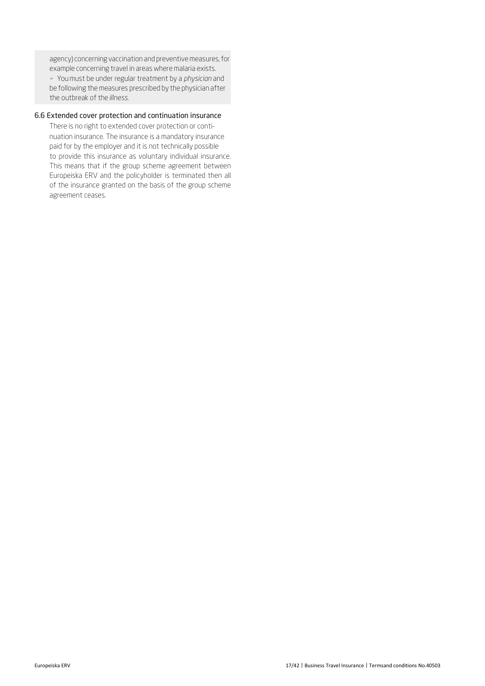agency) concerning vaccination and preventive measures, for example concerning travel in areas where malaria exists.

▪ You must be under regular treatment by a *physician* and be following the measures prescribed by the physician after the outbreak of the*illness*.

# 6.6 Extended cover protection and continuation insurance

There is no right to extended cover protection or continuation insurance. The insurance is a mandatory insurance paid for by the employer and it is not technically possible to provide this insurance as voluntary individual insurance. This means that if the group scheme agreement between Europeiska ERV and the policyholder is terminated then all of the insurance granted on the basis of the group scheme agreement ceases.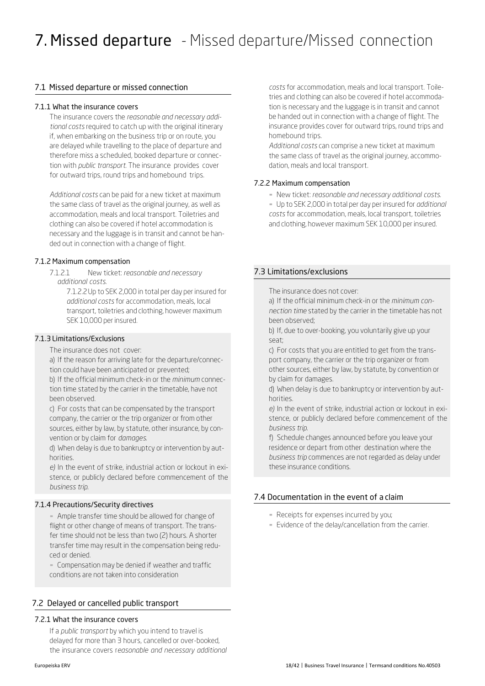# 7.1 Missed departure or missed connection

#### 7.1.1 What the insurance covers

The insurance covers the *reasonable and necessary additional costs* required to catch up with the original itinerary if, when embarking on the business trip or on route, you are delayed while travelling to the place of departure and therefore miss a scheduled, booked departure or connection with *public transport.* The insurance provides cover for outward trips, round trips and homebound trips.

*Additional costs* can be paid for a new ticket at maximum the same class of travel as the original journey, as well as accommodation, meals and local transport. Toiletries and clothing can also be covered if hotel accommodation is necessary and the luggage is in transit and cannot be handed out in connection with a change of flight.

# 7.1.2 Maximum compensation

7.1.2.1 New ticket: *reasonable and necessary additional costs*.

> 7.1.2.2Up to SEK 2,000 in total per day per insured for *additional costs* for accommodation, meals, local transport, toiletries and clothing, however maximum SEK 10,000 per insured.

#### 7.1.3 Limitations/Exclusions

The insurance does not cover:

a) If the reason for arriving late for the departure/connection could have been anticipated or prevented;

b) If the official minimum check-in or the *minimum* connection time stated by the carrier in the timetable, have not been observed.

c) For costs that can be compensated by the transport company, the carrier or the trip organizer or from other sources, either by law, by statute, other insurance, by convention or by claim for *damages*.

d) When delay is due to bankruptcy or intervention by authorities.

*e)* In the event of strike, industrial action or lockout in existence, or publicly declared before commencement of the *business trip.*

# 7.1.4 Precautions/Security directives

**• Ample transfer time should be allowed for change of** flight or other change of means of transport. The transfer time should not be less than two (2) hours. A shorter transfer time may result in the compensation being reduced or denied.

**• Compensation may be denied if weather and traffic** conditions are not taken into consideration

# 7.2 Delayed or cancelled public transport

#### 7.2.1 What the insurance covers

If a *public transport* by which you intend to travel is delayed for more than 3 hours, cancelled or over-booked, the insurance covers r*easonable and necessary additional* *costs* for accommodation, meals and local transport. Toiletries and clothing can also be covered if hotel accommodation is necessary and the luggage is in transit and cannot be handed out in connection with a change of flight. The insurance provides cover for outward trips, round trips and homebound trips.

*Additional costs* can comprise a new ticket at maximum the same class of travel as the original journey, accommodation, meals and local transport.

# 7.2.2 Maximum compensation

▪ New ticket: *reasonable and necessary additional costs.* 

▪ Up to SEK 2,000 in total per day per insured for *additional costs* for accommodation, meals, local transport, toiletries and clothing, however maximum SEK 10,000 per insured.

# 7.3 Limitations/exclusions

The insurance does not cover:

a) If the official minimum check-in or the *minimum connection time* stated by the carrier in the timetable has not been observed;

b) If, due to over-booking, you voluntarily give up your seat;

c) For costs that you are entitled to get from the transport company, the carrier or the trip organizer or from other sources, either by law, by statute, by convention or by claim for damages.

d) When delay is due to bankruptcy or intervention by authorities.

*e)* In the event of strike, industrial action or lockout in existence, or publicly declared before commencement of the *business trip.*

f) Schedule changes announced before you leave your residence or depart from other destination where the *business trip* commences are not regarded as delay under these insurance conditions.

# 7.4 Documentation in the event of a claim

- Receipts for expenses incurred by you;
- **Evidence of the delay/cancellation from the carrier.**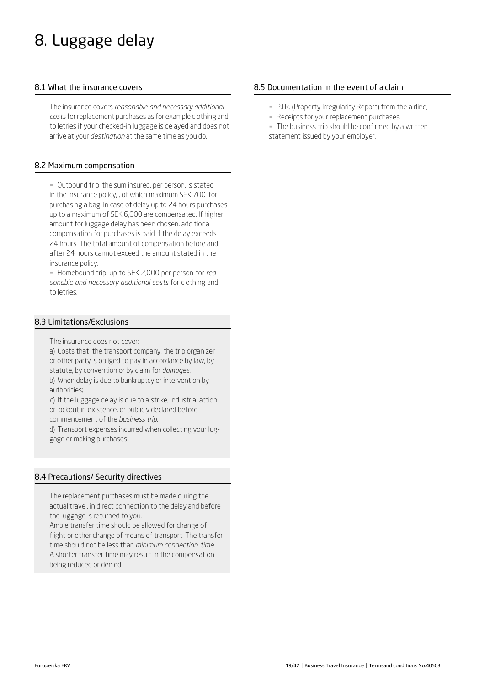# 8. Luggage delay

# 8.1 What the insurance covers

The insurance covers *reasonable and necessary additional costs* for replacement purchases as for example clothing and toiletries if your checked-in luggage is delayed and does not arrive at your *destination* at the same time as you do.

### 8.2 Maximum compensation

▪ Outbound trip: the sum insured, per person, is stated in the insurance policy, , of which maximum SEK 700 for purchasing a bag. In case of delay up to 24 hours purchases up to a maximum of SEK 6,000 are compensated. If higher amount for luggage delay has been chosen, additional compensation for purchases is paid if the delay exceeds 24 hours. The total amount of compensation before and after 24 hours cannot exceed the amount stated in the insurance policy.

▪ Homebound trip: up to SEK 2,000 per person for *reasonable and necessary additional costs* for clothing and toiletries.

# 8.3 Limitations/Exclusions

The insurance does not cover:

a) Costs that the transport company, the trip organizer or other party is obliged to pay in accordance by law, by statute, by convention or by claim for *damages*.

b) When delay is due to bankruptcy or intervention by authorities;

c) If the luggage delay is due to a strike, industrial action or lockout in existence, or publicly declared before

commencement of the *business trip*.

d) Transport expenses incurred when collecting your luggage or making purchases.

#### 8.4 Precautions/ Security directives

The replacement purchases must be made during the actual travel, in direct connection to the delay and before the luggage is returned to you.

Ample transfer time should be allowed for change of flight or other change of means of transport. The transfer time should not be less than *minimum connection time.* A shorter transfer time may result in the compensation being reduced or denied.

# 8.5 Documentation in the event of a claim

- P.I.R. (Property Irregularity Report) from the airline;
- Receipts for your replacement purchases

- The business trip should be confirmed by a written statement issued by your employer.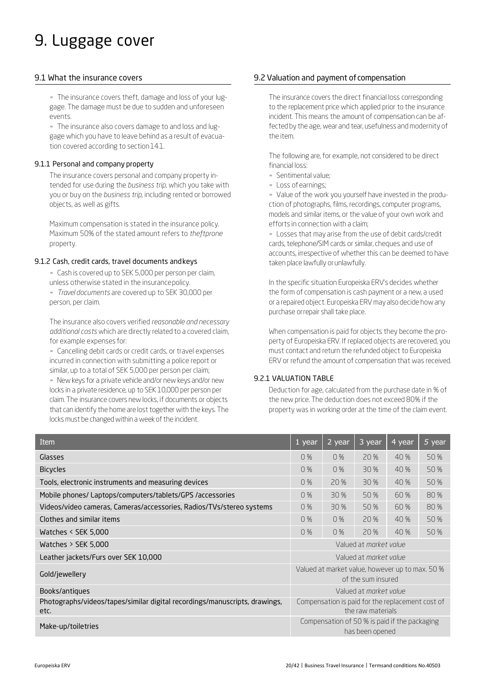# 9. Luggage cover

#### 9.1 What the insurance covers

- The insurance covers theft, damage and loss of your luggage. The damage must be due to sudden and unforeseen events.

- The insurance also covers damage to and loss and luggage which you have to leave behind as a result of evacuation covered according to section 14.1.

#### 9.1.1 Personal and company property

The insurance covers personal and company property intended for use during the *business trip*, which you take with you or buy on the *business trip*, including rented or borrowed objects, as well as gifts.

Maximum compensation is stated in the insurance policy. Maximum 50% of the stated amount refers to *theftprone*  property.

#### 9.1.2 Cash, credit cards, travel documents andkeys

- Cash is covered up to SEK 5,000 per person per claim,

unless otherwise stated in the insurancepolicy.

▪ *Travel documents* are covered up to SEK 30,000 per person, per claim.

The insurance also covers verified *reasonable and necessary additional costs* which are directly related to a covered claim, for example expenses for:

**EX Cancelling debit cards or credit cards, or travel expenses** incurred in connection with submitting a police report or similar, up to a total of SEK 5,000 per person per claim;

- New keys for a private vehicle and/or new keys and/or new locks in a private residence, up to SEK 10,000 per person per claim. The insurance covers new locks, if documents or objects that can identify the home are lost together with the keys. The locks must be changed within a week of the incident.

# 9.2 Valuation and payment of compensation

The insurance covers the direct financial loss corresponding to the replacement price which applied prior to the insurance incident. This means the amount of compensation can be affected by the age, wear and tear, usefulness and modernity of the item.

The following are, for example, not considered to be direct financial loss:

- **E** Sentimental value;
- Loss ofearnings;

- Value of the work you yourself have invested in the production of photographs, films, recordings, computer programs, models and similar items, or the value of your own work and efforts in connection with a claim;

- Losses that may arise from the use of debit cards/credit cards, telephone/SIM cards or similar, cheques and use of accounts, irrespective of whether this can be deemed to have taken place lawfully orunlawfully.

In the specific situation Europeiska ERV's decides whether the form of compensation is cash payment or a new, a used or a repaired object. Europeiska ERVmay also decide how any purchase orrepair shall take place.

When compensation is paid for objects they become the property of Europeiska ERV. If replaced objects are recovered, you must contact and return the refunded object to Europeiska ERV or refund the amount of compensation that was received.

# 9.2.1 VALUATION TABLE

Deduction for age, calculated from the purchase date in % of the new price. The deduction does not exceed 80% if the property was in working order at the time of the claim event.

| Item                                                                               | $1$ year                                                              | 2 year | 3 year          | 4 year                                        | 5 year |
|------------------------------------------------------------------------------------|-----------------------------------------------------------------------|--------|-----------------|-----------------------------------------------|--------|
| Glasses                                                                            | 0%                                                                    | 0%     | 20 %            | 40%                                           | 50 %   |
| <b>Bicycles</b>                                                                    | 0%                                                                    | 0 %    | 30 %            | 40 %                                          | 50 %   |
| Tools, electronic instruments and measuring devices                                | 0%                                                                    | 20 %   | 30 %            | 40 %                                          | 50 %   |
| Mobile phones/ Laptops/computers/tablets/GPS /accessories                          | 0%                                                                    | 30 %   | 50 %            | 60%                                           | 80%    |
| Videos/video cameras, Cameras/accessories, Radios/TVs/stereo systems               | 0%                                                                    | 30 %   | 50 %            | 60 %                                          | 80 %   |
| Clothes and similar items                                                          | 0%                                                                    | 0%     | 20 %            | 40 %                                          | 50 %   |
| Watches $\le$ SEK 5,000                                                            | 0%                                                                    | 0%     | 20 %            | 40 %                                          | 50 %   |
| Watches $>$ SEK 5,000                                                              | Valued at market value                                                |        |                 |                                               |        |
| Leather jackets/Furs over SEK 10,000                                               | Valued at <i>morket</i> volue                                         |        |                 |                                               |        |
| Gold/jewellery                                                                     | Valued at market value, however up to max. 50 %<br>of the sum insured |        |                 |                                               |        |
| Books/antiques                                                                     | Valued at market value                                                |        |                 |                                               |        |
| Photographs/videos/tapes/similar digital recordings/manuscripts, drawings,<br>etc. | Compensation is paid for the replacement cost of<br>the raw materials |        |                 |                                               |        |
| Make-up/toiletries                                                                 |                                                                       |        | has been opened | Compensation of 50 % is paid if the packaging |        |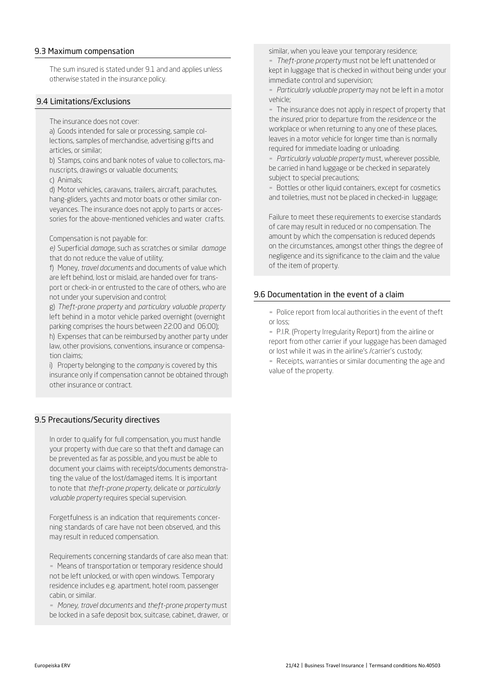#### 9.3 Maximum compensation

The sum insured is stated under 9.1 and and applies unless otherwise stated in the insurance policy.

#### 9.4 Limitations/Exclusions

The insurance does not cover:

a) Goods intended for sale or processing, sample collections, samples of merchandise, advertising gifts and articles, or similar;

b) Stamps, coins and bank notes of value to collectors, manuscripts, drawings or valuable documents; c) Animals;

d) Motor vehicles, caravans, trailers, aircraft, parachutes, hang-gliders, yachts and motor boats or other similar conveyances. The insurance does not apply to parts or accessories for the above-mentioned vehicles and water crafts.

Compensation is not payable for:

*e)* Superficial *damage*, such as scratches or similar *damage* that do not reduce the value of utility;

f) Money, *travel documents* and documents of value which are left behind, lost or mislaid, are handed over for transport or check-in or entrusted to the care of others, who are not under your supervision and control;

g) *Theft-prone property* and *particulary valuable property* left behind in a motor vehicle parked overnight (overnight parking comprises the hours between 22:00 and 06:00);

h) Expenses that can be reimbursed by another party under law, other provisions, conventions, insurance or compensation claims;

i) Property belonging to the *company* is covered by this insurance only if compensation cannot be obtained through other insurance or contract.

# 9.5 Precautions/Security directives

In order to qualify for full compensation, you must handle your property with due care so that theft and damage can be prevented as far as possible, and you must be able to document your claims with receipts/documents demonstrating the value of the lost/damaged items. It is important to note that *theft-prone property*, delicate or *particularly valuable property* requires special supervision.

Forgetfulness is an indication that requirements concerning standards of care have not been observed, and this may result in reduced compensation.

Requirements concerning standards of care also mean that: **• Means of transportation or temporary residence should** not be left unlocked, or with open windows. Temporary residence includes e.g. apartment, hotel room, passenger cabin, or similar.

▪ *Money*, *travel documents* and *theft-prone property* must be locked in a safe deposit box, suitcase, cabinet, drawer, or similar, when you leave your temporary residence;

▪ *Theft-prone property* must not be left unattended or kept in luggage that is checked in without being under your immediate control and supervision;

▪ *Particularly valuable property* may not be left in a motor vehicle;

▪ The insurance does not apply in respect of property that the *insured*, prior to departure from the *residence* or the workplace or when returning to any one of these places, leaves in a motor vehicle for longer time than is normally required for immediate loading or unloading.

▪ *Particularly valuable property* must, wherever possible, be carried in hand luggage or be checked in separately subject to special precautions;

**• Bottles or other liquid containers, except for cosmetics** and toiletries, must not be placed in checked-in luggage;

Failure to meet these requirements to exercise standards of care may result in reduced or no compensation. The amount by which the compensation is reduced depends on the circumstances, amongst other things the degree of negligence and its significance to the claim and the value of the item of property.

#### 9.6 Documentation in the event of a claim

- Police report from local authorities in the event of theft or loss;

▪ P.I.R. (Property Irregularity Report) from the airline or report from other carrier if your luggage has been damaged or lost while it was in the airline's /carrier's custody;

- Receipts, warranties or similar documenting the age and value of the property.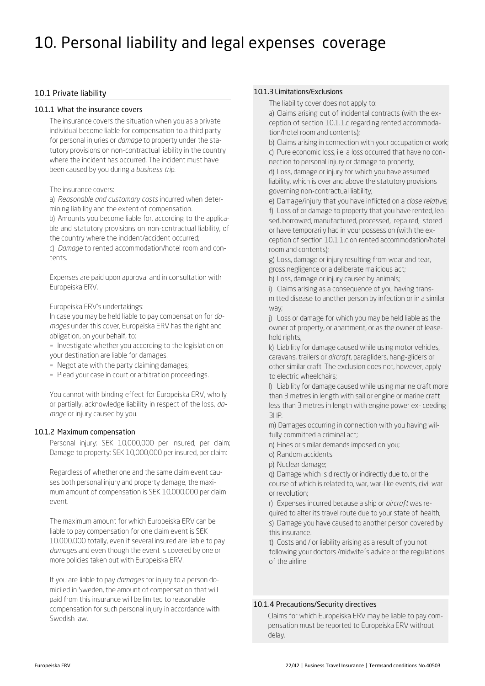# 10. Personal liability and legal expenses coverage

#### 10.1 Private liability

#### 10.1.1 What the insurance covers

The insurance covers the situation when you as a private individual become liable for compensation to a third party for personal injuries or *damage* to property under the statutory provisions on non-contractual liability in the country where the incident has occurred. The incident must have been caused by you during a *business trip.*

#### The insurance covers:

a) *Reasonable and customary costs* incurred when determining liability and the extent of compensation.

b) Amounts you become liable for, according to the applicable and statutory provisions on non-contractual liability, of the country where the incident/accident occurred;

c) *Damage* to rented accommodation/hotel room and contents.

Expenses are paid upon approval and in consultation with Europeiska ERV.

Europeiska ERV's undertakings:

In case you may be held liable to pay compensation for *damages* under this cover, Europeiska ERV has the right and obligation, on your behalf, to:

- Investigate whether you according to the legislation on your destination are liable for damages.

- Negotiate with the party claiming damages;
- Plead your case in court or arbitration proceedings.

You cannot with binding effect for Europeiska ERV, wholly or partially, acknowledge liability in respect of the loss, *damage* or injury caused by you.

# 10.1.2 Maximum compensation

Personal injury: SEK 10,000,000 per insured, per claim; Damage to property: SEK 10,000,000 per insured, per claim;

Regardless of whether one and the same claim event causes both personal injury and property damage, the maximum amount of compensation is SEK 10,000,000 per claim event.

The maximum amount for which Europeiska ERV can be liable to pay compensation for one claim event is SEK 10.000.000 totally, even if several insured are liable to pay *damages* and even though the event is covered by one or more policies taken out with Europeiska ERV.

If you are liable to pay *damages* for injury to a person domiciled in Sweden, the amount of compensation that will paid from this insurance will be limited to reasonable compensation for such personal injury in accordance with Swedish law.

#### 10.1.3 Limitations/Exclusions

The liability cover does not apply to:

a) Claims arising out of incidental contracts (with the exception of section 10.1.1.c regarding rented accommodation/hotel room and contents);

b) Claims arising in connection with your occupation or work; c) Pure economic loss, i.e. a loss occurred that have no connection to personal injury or damage to property;

d) Loss, damage or injury for which you have assumed liability, which is over and above the statutory provisions governing non-contractual liability;

e) Damage/injury that you have inflicted on a *close relative*; f) Loss of or damage to property that you have rented, leased, borrowed, manufactured, processed, repaired, stored or have temporarily had in your possession (with the exception of section 10.1.1.c on rented accommodation/hotel room and contents);

g) Loss, damage or injury resulting from wear and tear, gross negligence or a deliberate malicious act;

h) Loss, damage or injury caused by animals;

i) Claims arising as a consequence of you having trans-

mitted disease to another person by infection or in a similar way;

j) Loss or damage for which you may be held liable as the owner of property, or apartment, or as the owner of leasehold rights;

k) Liability for damage caused while using motor vehicles, caravans, trailers or *aircraft*, paragliders, hang-gliders or other similar craft. The exclusion does not, however, apply to electric wheelchairs;

l) Liability for damage caused while using marine craft more than 3 metres in length with sail or engine or marine craft less than 3 metres in length with engine power ex- ceeding 3HP.

m) Damages occurring in connection with you having wilfully committed a criminal act;

- n) Fines or similar demands imposed on you;
- o) Random accidents
- p) Nuclear damage;

q) Damage which is directly or indirectly due to, or the course of which is related to, war, war-like events, civil war or revolution;

r) Expenses incurred because a ship or *aircraft* was re-

quired to alter its travel route due to your state of health; s) Damage you have caused to another person covered by this insurance.

t) Costs and / or liability arising as a result of you not following your doctors /midwife´s advice or the regulations of the airline.

#### 10.1.4 Precautions/Security directives

Claims for which Europeiska ERV may be liable to pay compensation must be reported to Europeiska ERV without delay.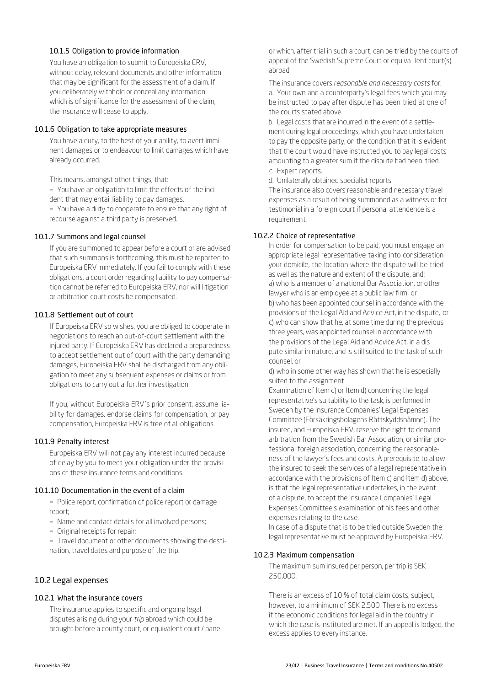#### 10.1.5 Obligation to provide information

You have an obligation to submit to Europeiska ERV, without delay, relevant documents and other information that may be significant for the assessment of a claim. If you deliberately withhold or conceal any information which is of significance for the assessment of the claim, the insurance will cease to apply.

#### 10.1.6 Obligation to take appropriate measures

You have a duty, to the best of your ability, to avert imminent damages or to endeavour to limit damages which have already occurred.

This means, amongst other things, that:

▪ You have an obligation to limit the effects of the incident that may entail liability to pay damages.

▪ You have a duty to cooperate to ensure that any right of recourse against a third party is preserved.

#### 10.1.7 Summons and legal counsel

If you are summoned to appear before a court or are advised that such summons is forthcoming, this must be reported to Europeiska ERV immediately. If you fail to comply with these obligations, a court order regarding liability to pay compensation cannot be referred to Europeiska ERV, nor will litigation or arbitration court costs be compensated.

# 10.1.8 Settlement out of court

If Europeiska ERV so wishes, you are obliged to cooperate in negotiations to reach an out-of-court settlement with the injured party. If Europeiska ERV has declared a preparedness to accept settlement out of court with the party demanding damages, Europeiska ERV shall be discharged from any obligation to meet any subsequent expenses or claims or from obligations to carry out a further investigation.

If you, without Europeiska ERV´s prior consent, assume liability for damages, endorse claims for compensation, or pay compensation, Europeiska ERV is free of all obligations.

# 10.1.9 Penalty interest

Europeiska ERV will not pay any interest incurred because of delay by you to meet your obligation under the provisions of these insurance terms and conditions.

# 10.1.10 Documentation in the event of a claim

**-** Police report, confirmation of police report or damage report;

- Name and contact details for all involved persons;
- **Original receipts for repair;**

▪ Travel document or other documents showing the destination, travel dates and purpose of the trip.

# 10.2 Legal expenses

# 10.2.1 What the insurance covers

The insurance applies to specific and ongoing legal disputes arising during your *trip* abroad which could be brought before a county court, or equivalent court / panel or which, after trial in such a court, can be tried by the courts of appeal of the Swedish Supreme Court or equiva- lent court(s) abroad.

The insurance covers *reasonable and necessary costs* for: a. Your own and a counterparty's legal fees which you may be instructed to pay after dispute has been tried at one of the courts stated above.

b. Legal costs that are incurred in the event of a settlement during legal proceedings, which you have undertaken to pay the opposite party, on the condition that it is evident that the court would have instructed you to pay legal costs amounting to a greater sum if the dispute had been tried. c. Expert reports.

d. Unilaterally obtained specialist reports.

The insurance also covers reasonable and necessary travel expenses as a result of being summoned as a witness or for testimonial in a foreign court if personal attendence is a requirement.

# 10.2.2 Choice of representative

In order for compensation to be paid, you must engage an appropriate legal representative taking into consideration your domicile, the location where the dispute will be tried as well as the nature and extent of the dispute, and: a) who is a member of a national Bar Association, or other lawyer who is an employee at a public law firm, or b) who has been appointed counsel in accordance with the provisions of the Legal Aid and Advice Act, in the dispute, or c) who can show that he, at some time during the previous three years, was appointed counsel in accordance with the provisions of the Legal Aid and Advice Act, in a dis pute similar in nature, and is still suited to the task of such counsel, or

d) who in some other way has shown that he is especially suited to the assignment.

Examination of Item c) or Item d) concerning the legal representative's suitability to the task, is performed in Sweden by the Insurance Companies' Legal Expenses Committee (Försäkringsbolagens Rättskyddsnämnd). The insured, and Europeiska ERV, reserve the right to demand arbitration from the Swedish Bar Association, or similar professional foreign association, concerning the reasonableness of the lawyer's fees and costs. A prerequisite to allow the insured to seek the services of a legal representative in accordance with the provisions of Item c) and Item d) above, is that the legal representative undertakes, in the event of a dispute, to accept the Insurance Companies' Legal Expenses Committee's examination of his fees and other expenses relating to the case.

In case of a dispute that is to be tried outside Sweden the legal representative must be approved by Europeiska ERV.

# 10.2.3 Maximum compensation

The maximum sum insured per person, per trip is SEK 250,000.

There is an excess of 10 % of total claim costs, subject, however, to a minimum of SEK 2,500. There is no excess if the economic conditions for legal aid in the country in which the case is instituted are met. If an appeal is lodged, the excess applies to every instance.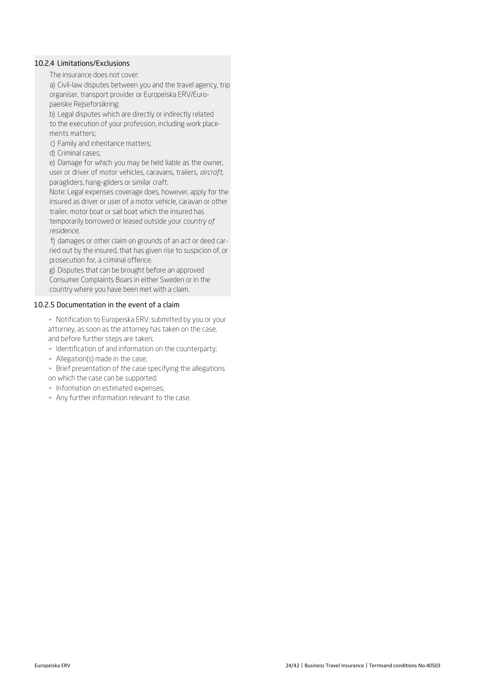#### 10.2.4 Limitations/Exclusions

The insurance does not cover:

a) Civil-law disputes between you and the travel agency, trip organiser, transport provider or Europeiska ERV/Europaeiske Rejseforsikring;

b) Legal disputes which are directly or indirectly related to the execution of your profession, including work placements matters;

- c) Family and inheritance matters;
- d) Criminal cases;

e) Damage for which you may be held liable as the owner, user or driver of motor vehicles, caravans, trailers, *aircraft*, paragliders, hang-gliders or similar craft.

Note: Legal expenses coverage does, however, apply for the insured as driver or user of a motor vehicle, caravan or other trailer, motor boat or sail boat which the insured has temporarily borrowed or leased outside your *country of* 

*residence*; f) damages or other claim on grounds of an act or deed car-

ried out by the insured, that has given rise to suspicion of, or prosecution for, a criminal offence.

g) Disputes that can be brought before an approved Consumer Complaints Boars in either Sweden or in the country where you have been met with a claim.

#### 10.2.5 Documentation in the event of a claim

- Notification to Europeiska ERV, submitted by you or your attorney, as soon as the attorney has taken on the case, and before further steps are taken;

- Identification of and information on the counterparty;

- Allegation(s) made in the case;

**EXECTE:** Brief presentation of the case specifying the allegations on which the case can be supported;

- **·** Information on estimated expenses;
- Any further information relevant to the case.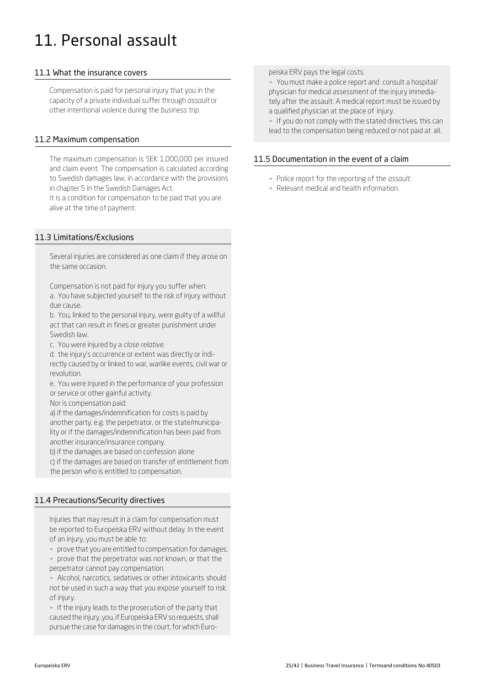# 11. Personal assault

# 11.1 What the insurance covers

Compensation is paid for personal injury that you in the capacity of a private individual suffer through *assault* or other intentional violence during the *business trip.*

#### 11.2 Maximum compensation

The maximum compensation is SEK 1,000,000 per insured and claim event. The compensation is calculated according to Swedish damages law, in accordance with the provisions in chapter 5 in the Swedish Damages Act.

It is a condition for compensation to be paid that you are alive at the time of payment.

# 11.3 Limitations/Exclusions

Several injuries are considered as one claim if they arose on the same occasion.

Compensation is not paid for injury you suffer when: a. You have subjected yourself to the risk of injury without due cause.

b. You, linked to the personal injury, were guilty of a willful act that can result in fines or greater punishment under Swedish law.

c. You were injured by a *close relative*.

d. the injury's occurrence or extent was directly or indirectly caused by or linked to war, warlike events, civil war or revolution.

e. You were injured in the performance of your profession or service or other gainful activity.

Nor is compensation paid:

a) if the damages/indemnification for costs is paid by another party, e.g. the perpetrator, or the state/municipality or if the damages/indemnification has been paid from another insurance/insurance company.

b) if the damages are based on confession alone

c) if the damages are based on transfer of entitlement from the person who is entitled to compensation.

# 11.4 Precautions/Security directives

Injuries that may result in a claim for compensation must be reported to Europeiska ERV without delay. In the event of an injury, you must be able to:

▪ prove that you are entitled to compensation for damages;

▪ prove that the perpetrator was not known, or that the perpetrator cannot pay compensation.

- Alcohol, narcotics, sedatives or other intoxicants should not be used in such a way that you expose yourself to risk of injury.

- If the injury leads to the prosecution of the party that caused the injury, you, if Europeiska ERV so requests, shall pursue the case for damages in the court, for which Euro-

#### peiska ERV pays the legal costs.

▪ You must make a police report and consult a hospital/ physician for medical assessment of the injury immediately after the assault. A medical report must be issued by a qualified physician at the place of injury.

- If you do not comply with the stated directives, this can lead to the compensation being reduced or not paid at all.

# 11.5 Documentation in the event of a claim

- Police report for the reporting of the *assault*.
- Relevant medical and health information.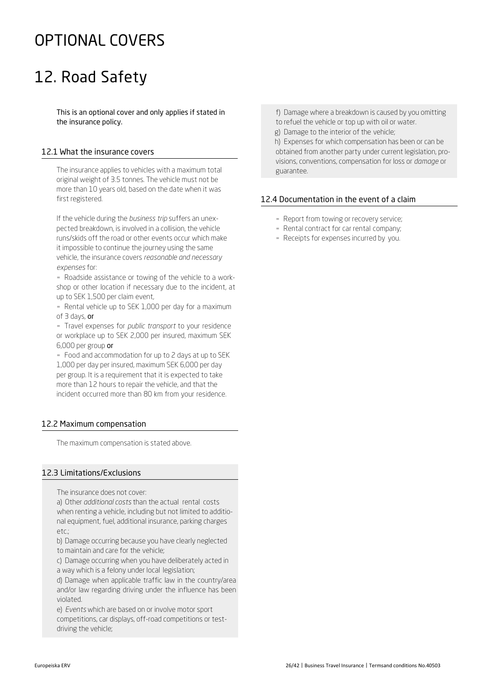# OPTIONAL COVERS

# 12. Road Safety

This is an optional cover and only applies if stated in the insurance policy.

# 12.1 What the insurance covers

The insurance applies to vehicles with a maximum total original weight of 3.5 tonnes. The vehicle must not be more than 10 years old, based on the date when it was first registered.

If the vehicle during the *business trip* suffers an unexpected breakdown, is involved in a collision, the vehicle runs/skids off the road or other events occur which make it impossible to continue the journey using the same vehicle, the insurance covers *reasonable and necessary expenses* for:

- Roadside assistance or towing of the vehicle to a workshop or other location if necessary due to the incident, at up to SEK 1,500 per claim event,

- Rental vehicle up to SEK 1,000 per day for a maximum of 3 days, or

▪ Travel expenses for *public transport* to your residence or workplace up to SEK 2,000 per insured, maximum SEK 6,000 per group or

▪ Food and accommodation for up to 2 days at up to SEK 1,000 per day per insured, maximum SEK 6,000 per day per group. It is a requirement that it is expected to take more than 12 hours to repair the vehicle, and that the incident occurred more than 80 km from your residence.

# 12.2 Maximum compensation

The maximum compensation is stated above.

# 12.3 Limitations/Exclusions

The insurance does not cover:

a) Other *additional costs* than the actual rental costs when renting a vehicle, including but not limited to additional equipment, fuel, additional insurance, parking charges etc.;

b) Damage occurring because you have clearly neglected to maintain and care for the vehicle;

c) Damage occurring when you have deliberately acted in a way which is a felony under local legislation;

d) Damage when applicable traffic law in the country/area and/or law regarding driving under the influence has been violated.

e) *Events* which are based on or involve motor sport competitions, car displays, off-road competitions or testdriving the vehicle;

f) Damage where a breakdown is caused by you omitting to refuel the vehicle or top up with oil or water.

g) Damage to the interior of the vehicle;

h) Expenses for which compensation has been or can be obtained from another party under current legislation, provisions, conventions, compensation for loss or *damage* or guarantee.

# 12.4 Documentation in the event of a claim

- Report from towing or recovery service;
- Rental contract for car rental company;
- Receipts for expenses incurred by you.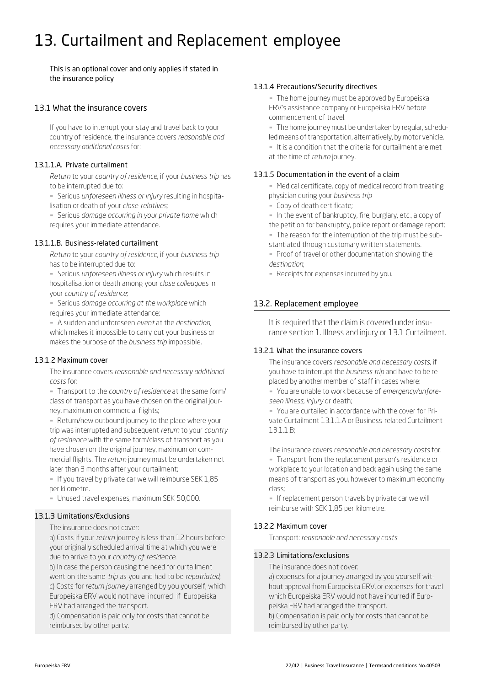# 13. Curtailment and Replacement employee

This is an optional cover and only applies if stated in the insurance policy

### 13.1 What the insurance covers

If you have to interrupt your stay and travel back to your country of residence, the insurance covers *reasonable and necessary additional costs* for:

#### 13.1.1.A. Private curtailment

*Return* to your *country of residence*, if your *business trip* has to be interrupted due to:

▪ Serious *unforeseen illness or injury* resulting in hospitalisation or death of your *close relatives*;

▪ Serious *damage occurring in your private home* which requires your immediate attendance.

#### 13.1.1.B. Business-related curtailment

*Return* to your *country of residence*, if your *business trip* has to be interrupted due to:

▪ Serious *unforeseen illness or injury* which results in hospitalisation or death among your *close colleagues* in your *country of residence*;

▪ Serious *damage occurring at the workplace* which requires your immediate attendance;

▪ A sudden and unforeseen *event* at the *destination*, which makes it impossible to carry out your business or makes the purpose of the *business trip* impossible.

#### 13.1.2 Maximum cover

The insurance covers *reasonable and necessary additional costs* for:

▪ Transport to the *country of residence* at the same form/ class of transport as you have chosen on the original journey, maximum on commercial flights;

- Return/new outbound journey to the place where your trip was interrupted and subsequent *return* to your *country of residence* with the same form/class of transport as you have chosen on the original journey, maximum on commercial flights. The *return* journey must be undertaken not later than 3 months after your curtailment;

- If you travel by private car we will reimburse SEK 1,85 per kilometre.

- Unused travel expenses, maximum SEK 50,000.

#### 13.1.3 Limitations/Exclusions

The insurance does not cover:

a) Costs if your *return* journey is less than 12 hours before your originally scheduled arrival time at which you were due to arrive to your *country of residence*.

b) In case the person causing the need for curtailment went on the same *trip* as you and had to be *repatriated*; c) Costs for *return journey* arranged by you yourself, which Europeiska ERV would not have incurred if Europeiska ERV had arranged the transport.

d) Compensation is paid only for costs that cannot be reimbursed by other party.

#### 13.1.4 Precautions/Security directives

- The home journey must be approved by Europeiska ERV's assistance company or Europeiska ERV before commencement of travel.

- The home journey must be undertaken by regular, scheduled means of transportation, alternatively, by motor vehicle.

I It is a condition that the criteria for curtailment are met at the time of *return* journey.

#### 13.1.5 Documentation in the event of a claim

- Medical certificate, copy of medical record from treating physician during your *business trip*

▪ Copy of death certificate;

. In the event of bankruptcy, fire, burglary, etc., a copy of the petition for bankruptcy, police report or damage report;

- The reason for the interruption of the trip must be substantiated through customary written statements.

**• Proof of travel or other documentation showing the** *destination*;

- Receipts for expenses incurred by you.

# 13.2. Replacement employee

It is required that the claim is covered under insurance section 1. Illness and injury or 13.1 Curtailment.

#### 13.2.1 What the insurance covers

The insurance covers *reasonable and necessary costs*, if you have to interrupt the *business trip* and have to be replaced by another member of staff in cases where:

▪ You are unable to work because of *emergency/unforeseen illness*, *injury* or death;

▪ You are curtailed in accordance with the cover for Private Curtailment 13.1.1.A or Business-related Curtailment 13.1.1.B;

The insurance covers *reasonable and necessary costs* for: ▪ Transport from the replacement person's residence or workplace to your location and back again using the same means of transport as you, however to maximum economy class;

- If replacement person travels by private car we will reimburse with SEK 1,85 per kilometre.

# 13.2.2 Maximum cover

Transport: *reasonable and necessary costs.*

#### 13.2.3 Limitations/exclusions

The insurance does not cover:

a) expenses for a journey arranged by you yourself without approval from Europeiska ERV, or expenses for travel which Europeiska ERV would not have incurred if Europeiska ERV had arranged the transport. b) Compensation is paid only for costs that cannot be reimbursed by other party.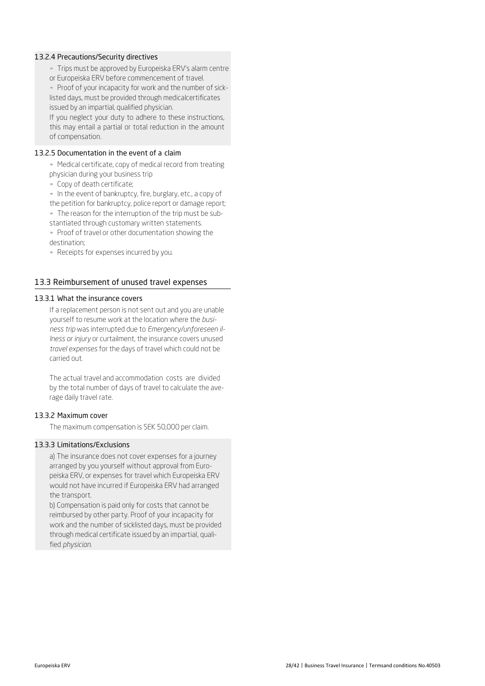#### 13.2.4 Precautions/Security directives

- Trips must be approved by Europeiska ERV's alarm centre
- or Europeiska ERV before commencement of travel.

▪ Proof of your incapacity for work and the number of sicklisted days, must be provided through medicalcertificates issued by an impartial, qualified physician.

If you neglect your duty to adhere to these instructions, this may entail a partial or total reduction in the amount of compensation.

#### 13.2.5 Documentation in the event of a claim

- Medical certificate, copy of medical record from treating physician during your business trip

▪ Copy of death certificate;

- In the event of bankruptcy, fire, burglary, etc., a copy of the petition for bankruptcy, police report or damage report; - The reason for the interruption of the trip must be sub-

stantiated through customary written statements.

- Proof of travel or other documentation showing the destination;

- Receipts for expenses incurred by you.

# 13.3 Reimbursement of unused travel expenses

# 13.3.1 What the insurance covers

If a replacement person is not sent out and you are unable yourself to resume work at the location where the *business trip* was interrupted due to *Emergency/unforeseen illness or injury* or curtailment, the insurance covers unused *travel expenses* for the days of travel which could not be carried out.

The actual travel and accommodation costs are divided by the total number of days of travel to calculate the average daily travel rate.

#### 13.3.2 Maximum cover

The maximum compensation is SEK 50,000 per claim.

# 13.3.3 Limitations/Exclusions

a) The insurance does not cover expenses for a journey arranged by you yourself without approval from Europeiska ERV, or expenses for travel which Europeiska ERV would not have incurred if Europeiska ERV had arranged the transport.

b) Compensation is paid only for costs that cannot be reimbursed by other party. Proof of your incapacity for work and the number of sicklisted days, must be provided through medical certificate issued by an impartial, qualified *physician*.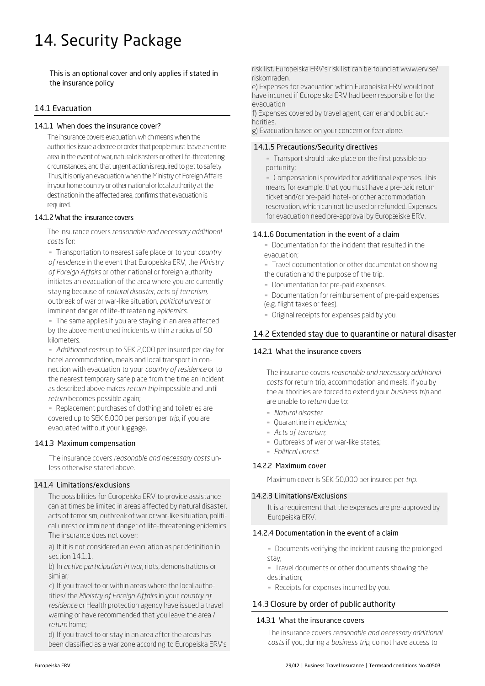# 14. Security Package

This is an optional cover and only applies if stated in the insurance policy

# 14.1 Evacuation

#### 14.1.1 When does the insurance cover?

The insurance covers evacuation, which means when the authorities issue a decree or order that people must leave an entire area in the event of war, natural disasters or other life-threatening circumstances, and that urgent action is required to get to safety. Thus, it is only an evacuation when the Ministry of Foreign Affairs in your home country or other national or local authority at the destination in the affected area, confirms that evacuation is required.

#### 14.1.2 What the insurance covers

The insurance covers *reasonable and necessary additional costs* for:

▪ Transportation to nearest safe place or to your *country of residence* in the event that Europeiska ERV, the *Ministry of Foreign Affairs* or other national or foreign authority initiates an evacuation of the area where you are currently staying because of *natural disaster*, *acts of terrorism*, outbreak of war or war-like situation, *political unrest* or imminent danger of life-threatening *epidemics*.

▪ The same applies if you are staying in an area affected by the above mentioned incidents within a radius of 50 kilometers.

▪ *Additional costs* up to SEK 2,000 per insured per day for hotel accommodation, meals and local transport in connection with evacuation to your *country of residence* or to the nearest temporary safe place from the time an incident as described above makes *return trip* impossible and until *return* becomes possible again;

▪ Replacement purchases of clothing and toiletries are covered up to SEK 6,000 per person per *trip*, if you are evacuated without your luggage.

#### 14.1.3 Maximum compensation

The insurance covers *reasonable and necessary costs* unless otherwise stated above.

### 14.1.4 Limitations/exclusions

The possibilities for Europeiska ERV to provide assistance can at times be limited in areas affected by natural disaster, acts of terrorism, outbreak of war or war-like situation, political unrest or imminent danger of life-threatening epidemics. The insurance does not cover:

a) If it is not considered an evacuation as p[er definition in](http://www.erv.se/)  section 14.1.1.

b) In *active participation in war,* riots, demonstrations or similar;

c) If you travel to or within areas where the local authorities/ the *Ministry of Foreign Affairs* in your *country of residence* or Health protection agency have issued a travel warning or have recommended that you leave the area / *return* home;

d) If you travel to or stay in an area after the areas has been classified as a war zone according to Europeiska ERV's risk list. Europeiska ERV's risk list can be found at www.erv.se/ riskomraden.

e) Expenses for evacuation which Europeiska ERV would not have incurred if Europeiska ERV had been responsible for the evacuation.

f) Expenses covered by travel agent, carrier and public authorities.

g) Evacuation based on your concern or fear alone.

# 14.1.5 Precautions/Security directives

▪ Transport should take place on the first possible opportunity;

**EX Compensation is provided for additional expenses. This** means for example, that you must have a pre-paid return ticket and/or pre-paid hotel- or other accommodation reservation, which can not be used or refunded. Expenses for evacuation need pre-approval by Europæiske ERV.

#### 14.1.6 Documentation in the event of a claim

▪ Documentation for the incident that resulted in the evacuation;

**Travel documentation or other documentation showing** the duration and the purpose of the trip.

- **-** Documentation for pre-paid expenses.
- **-** Documentation for reimbursement of pre-paid expenses (e.g. flight taxes or fees).
- Original receipts for expenses paid by you.

# 14.2 Extended stay due to quarantine or natural disaster

#### 14.2.1 What the insurance covers

The insurance covers *reasonable and necessary additional costs* for return trip, accommodation and meals, if you by the authorities are forced to extend your *business trip* and are unable to *return* due to:

- *Natural disaster*
- Quarantine in *epidemics;*
- *Acts of terrorism*;
- **-** Outbreaks of war or war-like states;
- *Political unrest.*

#### 14.2.2 Maximum cover

Maximum cover is SEK 50,000 per insured per *trip*.

#### 14.2.3 Limitations/Exclusions

It is a requirement that the expenses are pre-approved by Europeiska ERV.

#### 14.2.4 Documentation in the event of a claim

- Documents verifying the incident causing the prolonged stay;

- Travel documents or other documents showing the destination;
- Receipts for expenses incurred by you.

# 14.3 Closure by order of public authority

#### 14.3.1 What the insurance covers

The insurance covers *reasonable and necessary additional costs* if you, during a *business trip*, do not have access to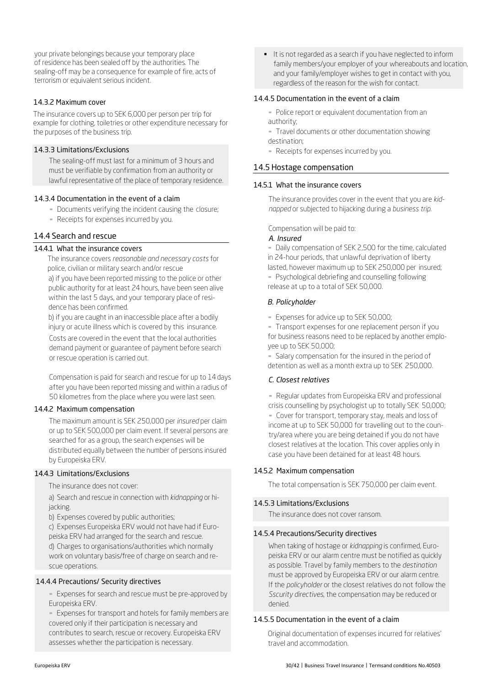# 14.3.2 Maximum cover

The insurance covers up to SEK 6,000 per person per trip for example for clothing, toiletries or other expenditure necessary for the purposes of the business trip.

# 14.3.3 Limitations/Exclusions

The sealing-off must last for a minimum of 3 hours and must be verifiable by confirmation from an authority or lawful representative of the place of temporary residence.

# 14.3.4 Documentation in the event of a claim

- Documents verifying the incident causing the closure;
- Receipts for expenses incurred by you.

# 14.4 Search and rescue

# 14.4.1 What the insurance covers

The insurance covers *reasonable and necessary costs* for police, civilian or military search and/or rescue a) if you have been reported missing to the police or other public authority for at least 24 hours, have been seen alive within the last 5 days, and your temporary place of residence has been confirmed.

b) if you are caught in an inaccessible place after a bodily injury or acute illness which is covered by this insurance.

Costs are covered in the event that the local authorities demand payment or guarantee of payment before search or rescue operation is carried out.

Compensation is paid for search and rescue for up to 14 days after you have been reported missing and within a radius of 50 kilometres from the place where you were last seen.

# 14.4.2 Maximum compensation

The maximum amount is SEK 250,000 per *insured* per claim or up to SEK 500,000 per claim event. If several persons are searched for as a group, the search expenses will be distributed equally between the number of persons insured by Europeiska ERV.

# 14.4.3 Limitations/Exclusions

The insurance does not cover:

a) Search and rescue in connection with *kidnapping* or hijacking.

b) Expenses covered by public authorities;

c) Expenses Europeiska ERV would not have had if Europeiska ERV had arranged for the search and rescue. d) Charges to organisations/authorities which normally work on voluntary basis/free of charge on search and rescue operations.

# 14.4.4 Precautions/ Security directives

**Expenses for search and rescue must be pre-approved by** Europeiska ERV.

**Expenses for transport and hotels for family members are** covered only if their participation is necessary and contributes to search, rescue or recovery. Europeiska ERV assesses whether the participation is necessary.

 It is not regarded as a search if you have neglected to inform family members/your employer of your whereabouts and location, and your family/employer wishes to get in contact with you, regardless of the reason for the wish for contact.

# 14.4.5 Documentation in the event of a claim

**-** Police report or equivalent documentation from an authority;

- **-** Travel documents or other documentation showing destination;
- Receipts for expenses incurred by you.

# 14.5 Hostage compensation

# 14.5.1 What the insurance covers

The insurance provides cover in the event that you are *kidnapped* or subjected to hijacking during a *business trip*.

Compensation will be paid to:

# *A. Insured*

- Daily compensation of SEK 2,500 for the time, calculated in 24-hour periods, that unlawful deprivation of liberty lasted, however maximum up to SEK 250,000 per insured;

**• Psychological debriefing and counselling following** release at up to a total of SEK 50,000.

# *B. Policyholder*

▪ Expenses for advice up to SEK 50,000;

▪ Transport expenses for one replacement person if you for business reasons need to be replaced by another employee up to SEK 50,000;

**Salary compensation for the insured in the period of** detention as well as a month extra up to SEK 250,000.

# *C. Closest relatives*

**• Regular updates from Europeiska ERV and professional** crisis counselling by psychologist up to totally SEK 50,000; ▪ Cover for transport, temporary stay, meals and loss of income at up to SEK 50,000 for travelling out to the country/area where you are being detained if you do not have closest relatives at the location. This cover applies only in case you have been detained for at least 48 hours.

# 14.5.2 Maximum compensation

The total compensation is SEK 750,000 per claim event.

# 14.5.3 Limitations/Exclusions

The insurance does not cover ransom.

# 14.5.4 Precautions/Security directives

When taking of hostage or *kidnapping* is confirmed, Europeiska ERV or our alarm centre must be notified as quickly as possible. Travel by family members to the *destination* must be approved by Europeiska ERV or our alarm centre. If the *policyholder* or the closest relatives do not follow the *Sscurity directives*, the compensation may be reduced or denied.

# 14.5.5 Documentation in the event of a claim

Original documentation of expenses incurred for relatives' travel and accommodation.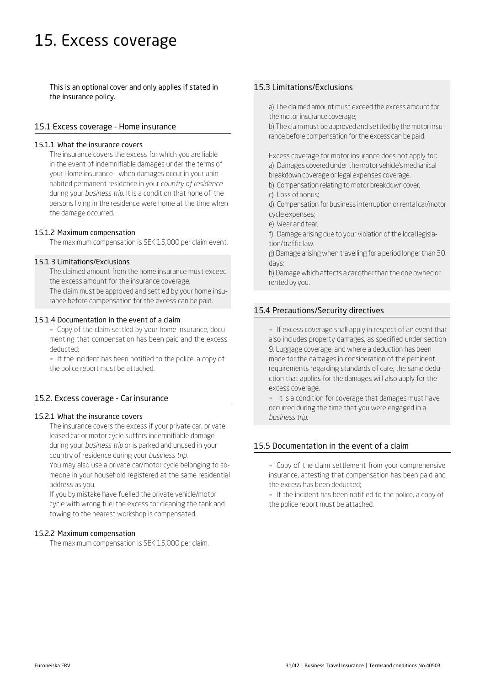# 15. Excess coverage

This is an optional cover and only applies if stated in the insurance policy.

### 15.1 Excess coverage - Home insurance

#### 15.1.1 What the insurance covers

The insurance covers the excess for which you are liable in the event of indemnifiable damages under the terms of your Home insurance – when damages occur in your uninhabited permanent residence in your *country of residence*  during your *business trip*. It is a condition that none of the persons living in the residence were home at the time when the damage occurred.

#### 15.1.2 Maximum compensation

The maximum compensation is SEK 15,000 per claim event.

#### 15.1.3 Limitations/Exclusions

The claimed amount from the home insurance must exceed the excess amount for the insurance coverage. The claim must be approved and settled by your home insu-

rance before compensation for the excess can be paid.

#### 15.1.4 Documentation in the event of a claim

▪ Copy of the claim settled by your home insurance, documenting that compensation has been paid and the excess deducted;

- If the incident has been notified to the police, a copy of the police report must be attached.

#### 15.2. Excess coverage - Car insurance

#### 15.2.1 What the insurance covers

The insurance covers the excess if your private car, private leased car or motor cycle suffers indemnifiable damage during your *business trip* or is parked and unused in your country of residence during your *business trip*.

You may also use a private car/motor cycle belonging to someone in your household registered at the same residential address as you.

If you by mistake have fuelled the private vehicle/motor cycle with wrong fuel the excess for cleaning the tank and towing to the nearest workshop is compensated.

#### 15.2.2 Maximum compensation

The maximum compensation is SEK 15,000 per claim.

# 15.3 Limitations/Exclusions

a) The claimed amount must exceed the excess amount for the motor insurancecoverage;

b) The claim must be approved and settled by the motor insurance before compensation for the excess can be paid.

Excess coverage for motor insurance does not apply for: a) Damages covered under the motor vehicle's mechanical breakdown coverage or legal expenses coverage.

- b) Compensation relating to motor breakdowncover;
- c) Loss ofbonus;
- d) Compensation for business interruption or rental car/motor cycle expenses;
- e) Wear and tear;
- f) Damage arising due to your violation of the local legislation/traffic law.

g) Damage arising when travelling for a period longer than 30 days;

h) Damage which affects a car other than the one owned or rented by you.

#### 15.4 Precautions/Security directives

**.** If excess coverage shall apply in respect of an event that also includes property damages, as specified under section 9. Luggage coverage, and where a deduction has been made for the damages in consideration of the pertinent requirements regarding standards of care, the same deduction that applies for the damages will also apply for the excess coverage.

▪ It is a condition for coverage that damages must have occurred during the time that you were engaged in a *business trip*.

#### 15.5 Documentation in the event of a claim

- Copy of the claim settlement from your comprehensive insurance, attesting that compensation has been paid and the excess has been deducted;

▪ If the incident has been notified to the police, a copy of the police report must be attached.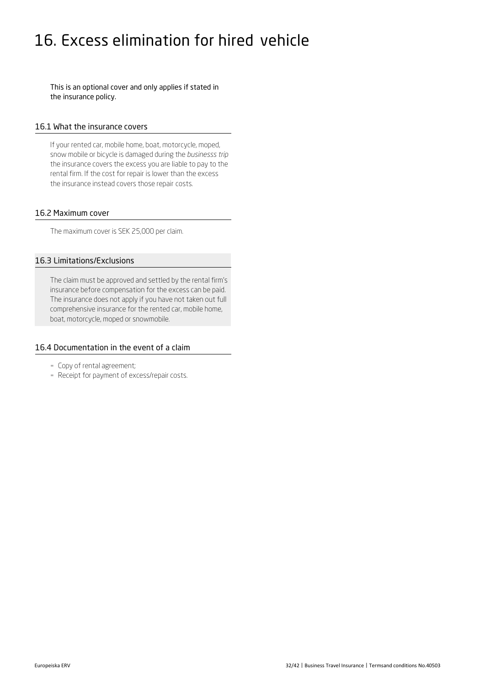# 16. Excess elimination for hired vehicle

This is an optional cover and only applies if stated in the insurance policy.

#### 16.1 What the insurance covers

If your rented car, mobile home, boat, motorcycle, moped, snow mobile or bicycle is damaged during the *businesss trip*  the insurance covers the excess you are liable to pay to the rental firm. If the cost for repair is lower than the excess the insurance instead covers those repair costs.

#### 16.2 Maximum cover

The maximum cover is SEK 25,000 per claim.

# 16.3 Limitations/Exclusions

The claim must be approved and settled by the rental firm's insurance before compensation for the excess can be paid. The insurance does not apply if you have not taken out full comprehensive insurance for the rented car, mobile home, boat, motorcycle, moped or snowmobile.

### 16.4 Documentation in the event of a claim

- Copy of rental agreement;
- Receipt for payment of excess/repair costs.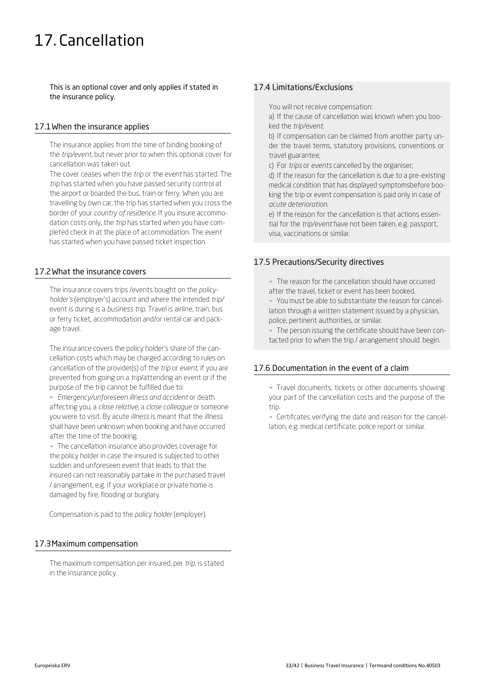# 17. Cancellation

This is an optional cover and only applies if stated in the insurance policy.

### 17.1When the insurance applies

The insurance applies from the time of binding booking of the *trip/event*, but never prior to when this optional cover for cancellation was taken out.

The cover ceases when the *trip* or the *event* has started. The *trip* has started when you have passed security control at the airport or boarded the bus, train or ferry. When you are travelling by own car, the trip has started when you cross the border of your *country of residence*. If you insure accommodation costs only, the *trip* has started when you have completed check in at the place of accommodation. The *event*  has started when you have passed ticket inspection.

# 17.2What the insurance covers

The insurance covers trips /events bought on the *policyholder's* (employer's) account and where the intended *trip/*  event is during is a *business trip*. Travel is airline, train, bus or ferry ticket, accommodation and/or rental car and package travel.

The insurance covers the policy holder's share of the cancellation costs which may be charged according to rules on cancellation of the provider(s) of the *trip* or *event*, if you are prevented from going on a *trip*/attending an event or if the purpose of the trip cannot be fulfilled due to:

▪ *Emergency/unforeseen illness and accident* or death affecting you, a *close relative*, a *close colleague* or someone you were to visit. By acute *illness* is meant that the *illness*  shall have been unknown when booking and have occurred after the time of the booking.

- The cancellation insurance also provides coverage for the policy holder in case the insured is subjected to other sudden and unforeseen event that leads to that the insured can not reasonably partake in the purchased travel / arrangement, e.g. if your workplace or private home is damaged by fire, flooding or burglary.

Compensation is paid to the *policy holder* (employer).

# 17.3Maximum compensation

The maximum compensation per insured, per *trip*, is stated in the insurance policy.

# 17.4 Limitations/Exclusions

You will not receive compensation:

a) If the cause of cancellation was known when you booked the *trip/event*.

b) If compensation can be claimed from another party under the travel terms, statutory provisions, conventions or travel guarantee;

c) For *trips* or *events* cancelled by the organiser;

d) If the reason for the cancellation is due to a pre-existing medical condition that has displayed symptomsbefore booking the trip or event compensation is paid only in case of *acute deterioration*.

e) If the reason for the cancellation is that actions essential for the *trip/event* have not been taken, e.g. passport, visa, vaccinations or similar.

# 17.5 Precautions/Security directives

▪ The reason for the cancellation should have occurred after the travel, ticket or event has been booked. ▪ You must be able to substantiate the reason for cancel-

lation through a written statement issued by a physician, police, pertinent authorities, or similar.

- The person issuing the certificate should have been contacted prior to when the trip / arrangement should begin.

#### 17.6 Documentation in the event of a claim

- Travel documents, tickets or other documents showing your part of the cancellation costs and the purpose of the trip.

▪ Certifcates verifying the date and reason for the cancellation, e.g. medical certificate, police report or similar.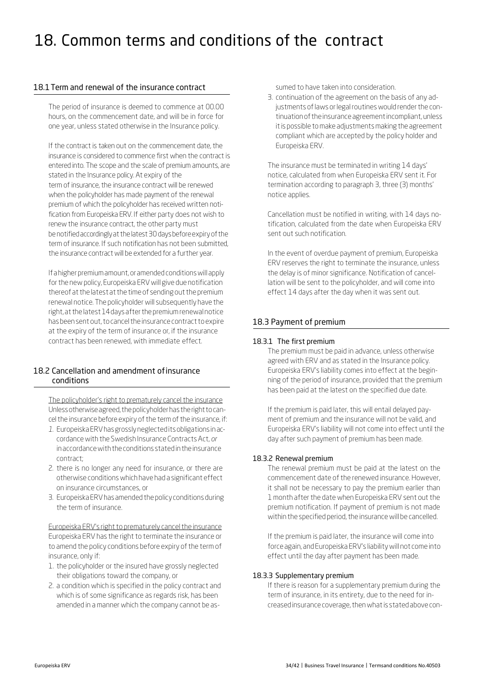# 18. Common terms and conditions of the contract

### 18.1Term and renewal of the insurance contract

The period of insurance is deemed to commence at 00.00 hours, on the commencement date, and will be in force for one year, unless stated otherwise in the Insurance policy.

If the contract is taken out on the commencement date, the insurance is considered to commence first when the contract is entered into. The scope and the scale of premium amounts, are stated in the Insurance policy. At expiry of the term of insurance, the insurance contract will be renewed when the policyholder has made payment of the renewal premium of which the policyholder has received written notification from Europeiska ERV. If either party does not wish to renew the insurance contract, the other party must benotifiedaccordinglyatthelatest30daysbeforeexpiryofthe term of insurance. If such notification has not been submitted, the insurance contract will be extended for a further year.

If a higher premium amount, or amended conditions will apply for the new policy, Europeiska ERV will give due notification thereof at the latest at the time of sending out the premium renewal notice. The policyholder will subsequently have the right, at the latest 14 days after the premium renewal notice has been sent out, to cancel the insurance contract to expire at the expiry of the term of insurance or, if the insurance contract has been renewed, with immediate effect.

# 18.2 Cancellation and amendment ofinsurance conditions

The policyholder's right to prematurely cancel the insurance Unless otherwise agreed, the policyholder has the right to cancel the insurance before expiry of the term of the insurance, if:

- *1.* Europeiska ERV hasgrosslyneglecteditsobligationsinaccordancewith the Swedish Insurance ContractsAct, *or* inaccordancewiththeconditionsstatedintheinsurance contract;
- 2. there is no longer any need for insurance, or there are otherwise conditions which have had a significant effect on insurance circumstances, or
- 3. Europeiska ERV has amended the policy conditions during the term of insurance.

Europeiska ERV's right to prematurely cancel the insurance Europeiska ERV has the right to terminate the insurance or to amend the policy conditions before expiry of the term of insurance, only if:

- 1. the policyholder or the insured have grossly neglected their obligations toward the company, or
- 2. a condition which is specified in the policy contract and which is of some significance as regards risk, has been amended in a manner which the company cannot be as-

sumed to have taken into consideration.

3. continuation of the agreement on the basis of any adjustments of laws or legal routines would render the continuationoftheinsuranceagreementincompliant,unless it is possible to make adjustments making the agreement compliant which are accepted by the policy holder and Europeiska ERV.

The insurance must be terminated in writing 14 days' notice, calculated from when Europeiska ERV sent it. For termination according to paragraph 3, three (3) months' notice applies.

Cancellation must be notified in writing, with 14 days notification, calculated from the date when Europeiska ERV sent out such notification.

In the event of overdue payment of premium, Europeiska ERV reserves the right to terminate the insurance, unless the delay is of minor significance. Notification of cancellation will be sent to the policyholder, and will come into effect 14 days after the day when it was sent out.

# 18.3 Payment of premium

### 18.3.1 The first premium

The premium must be paid in advance, unless otherwise agreed with ERV and as stated in the Insurance policy. Europeiska ERV's liability comes into effect at the beginning of the period of insurance, provided that the premium has been paid at the latest on the specified due date.

If the premium is paid later, this will entail delayed payment of premium and the insurance will not be valid, and Europeiska ERV's liability will not come into effect until the day after such payment of premium has been made.

#### 18.3.2 Renewal premium

The renewal premium must be paid at the latest on the commencement date of the renewed insurance. However, it shall not be necessary to pay the premium earlier than 1 month after the date when Europeiska ERV sent out the premium notification. If payment of premium is not made within the specified period, the insurance will be cancelled.

If the premium is paid later, the insurance will come into force again, and Europeiska ERV's liability will not come into effect until the day after payment has been made.

#### 18.3.3 Supplementary premium

If there is reason for a supplementary premium during the term of insurance, in its entirety, due to the need for increased insurance coverage, then what is stated above con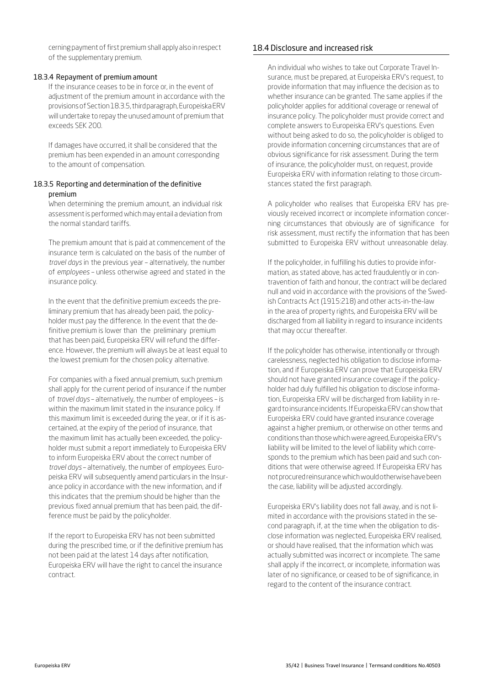cerning payment of first premium shall apply also in respect of the supplementary premium.

#### 18.3.4 Repayment of premium amount

If the insurance ceases to be in force or, in the event of adjustment of the premium amount in accordance with the provisionsofSection18.3.5,thirdparagraph,EuropeiskaERV will undertake to repay the unused amount of premium that exceeds SEK 200.

If damages have occurred, it shall be considered that the premium has been expended in an amount corresponding to the amount of compensation.

#### 18.3.5 Reporting and determination of the definitive premium

When determining the premium amount, an individual risk assessment is performed whichmay entail a deviation from the normal standard tariffs.

The premium amount that is paid at commencement of the insurance term is calculated on the basis of the number of *travel days* in the previous year – alternatively, the number of *employees* – unless otherwise agreed and stated in the insurance policy.

In the event that the definitive premium exceeds the preliminary premium that has already been paid, the policyholder must pay the difference. In the event that the definitive premium is lower than the preliminary premium that has been paid, Europeiska ERV will refund the difference. However, the premium will always be at least equal to the lowest premium for the chosen policy alternative.

For companies with a fixed annual premium, such premium shall apply for the current period of insurance if the number of *travel days* – alternatively, the number of employees – is within the maximum limit stated in the insurance policy. If this maximum limit is exceeded during the year, or if it is ascertained, at the expiry of the period of insurance, that the maximum limit has actually been exceeded, the policyholder must submit a report immediately to Europeiska ERV to inform Europeiska ERV about the correct number of *travel days* – alternatively, the number of *employees*. Europeiska ERV will subsequently amend particulars in the Insurance policy in accordance with the new information, and if this indicates that the premium should be higher than the previous fixed annual premium that has been paid, the difference must be paid by the policyholder.

If the report to Europeiska ERV has not been submitted during the prescribed time, or if the definitive premium has not been paid at the latest 14 days after notification, Europeiska ERV will have the right to cancel the insurance contract.

# 18.4 Disclosure and increased risk

An individual who wishes to take out Corporate Travel Insurance, must be prepared, at Europeiska ERV's request, to provide information that may influence the decision as to whether insurance can be granted. The same applies if the policyholder applies for additional coverage or renewal of insurance policy. The policyholder must provide correct and complete answers to Europeiska ERV's questions. Even without being asked to do so, the policyholder is obliged to provide information concerning circumstances that are of obvious significance for risk assessment. During the term of insurance, the policyholder must, on request, provide Europeiska ERV with information relating to those circumstances stated the first paragraph.

A policyholder who realises that Europeiska ERV has previously received incorrect or incomplete information concerning circumstances that obviously are of significance for risk assessment, must rectify the information that has been submitted to Europeiska ERV without unreasonable delay.

If the policyholder, in fulfilling his duties to provide information, as stated above, has acted fraudulently or in contravention of faith and honour, the contract will be declared null and void in accordance with the provisions of the Swedish Contracts Act (1915:218) and other acts-in-the-law in the area of property rights, and Europeiska ERV will be discharged from all liability in regard to insurance incidents that may occur thereafter.

If the policyholder has otherwise, intentionally or through carelessness, neglected his obligation to disclose information, and if Europeiska ERV can prove that Europeiska ERV should not have granted insurance coverage if the policyholder had duly fulfilled his obligation to disclose information, Europeiska ERV will be discharged from liability in regardtoinsuranceincidents. IfEuropeiska ERV canshowthat Europeiska ERV could have granted insurance coverage against a higher premium, or otherwise on other terms and conditionsthanthosewhichwere agreed,Europeiska ERV's liability will be limited to the level of liability which corresponds to the premium which has been paid and such conditions that were otherwise agreed. If Europeiska ERV has not procured reinsurance which would otherwise have been the case, liability will be adjusted accordingly.

Europeiska ERV's liability does not fall away, and is not limited in accordance with the provisions stated in the second paragraph, if, at the time when the obligation to disclose information was neglected, Europeiska ERV realised, or should have realised, that the information which was actually submitted was incorrect or incomplete. The same shall apply if the incorrect, or incomplete, information was later of no significance, or ceased to be of significance, in regard to the content of the insurance contract.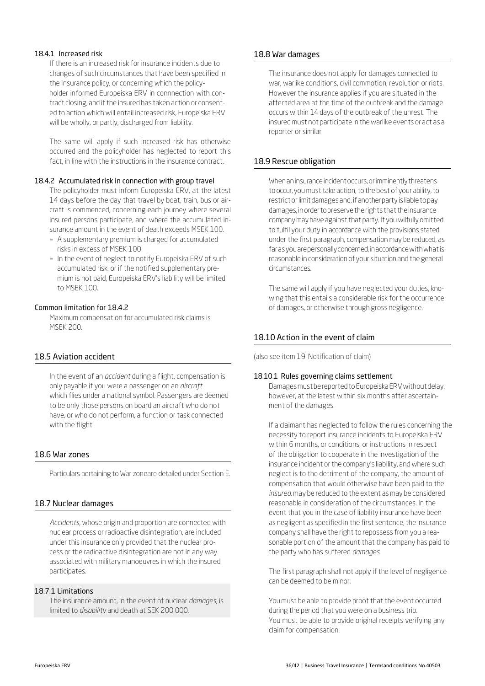#### 18.4.1 Increased risk

If there is an increased risk for insurance incidents due to changes of such circumstances that have been specified in the Insurance policy, or concerning which the policyholder informed Europeiska ERV in connnection with contract closing, and if the insured has taken action or consented to action which will entail increased risk, Europeiska ERV will be wholly, or partly, discharged from liability.

The same will apply if such increased risk has otherwise occurred and the policyholder has neglected to report this fact, in line with the instructions in the insurance contract.

#### 18.4.2 Accumulated risk in connection with group travel

The policyholder must inform Europeiska ERV, at the latest 14 days before the day that travel by boat, train, bus or aircraft is commenced, concerning each journey where several insured persons participate, and where the accumulated insurance amount in the event of death exceeds MSEK 100.

- A supplementary premium is charged for accumulated risks in excess of MSEK 100.
- In the event of neglect to notify Europeiska ERV of such accumulated risk, or if the notified supplementary premium is not paid, Europeiska ERV's liability will be limited to MSEK 100.

#### Common limitation for 18.4.2

Maximum compensation for accumulated risk claims is MSEK 200.

# 18.5 Aviation accident

In the event of an *accident* during a flight, compensation is only payable if you were a passenger on an *aircraft* which flies under a national symbol. Passengers are deemed to be only those persons on board an aircraft who do not have, or who do not perform, a function or task connected with the flight.

#### 18.6 War zones

Particulars pertaining to War zoneare detailed under Section E.

#### 18.7 Nuclear damages

*Accidents,* whose origin and proportion are connected with nuclear process or radioactive disintegration, are included under this insurance only provided that the nuclear process or the radioactive disintegration are not in any way associated with military manoeuvres in which the insured participates.

#### 18.7.1 Limitations

The insurance amount, in the event of nuclear *damages*, is limited to *disability* and death at SEK 200 000.

#### 18.8 War damages

The insurance does not apply for damages connected to war, warlike conditions, civil commotion, revolution or riots. However the insurance applies if you are situated in the affected area at the time of the outbreak and the damage occurs within 14 days of the outbreak of the unrest. The insured must not participate in thewarlike events or act as a reporter or similar

### 18.9 Rescue obligation

Whenaninsuranceincidentoccurs,orimminentlythreatens to occur, you must take action, to the best of your ability, to restrict or limit damages and, if another party is liable to pay damages, in order to preserve the rights that the insurance company may have against that party. If you wilfully omitted to fulfil your duty in accordance with the provisions stated under the first paragraph, compensation may be reduced, as farasyouarepersonallyconcerned,inaccordancewithwhatis reasonable in consideration of your situation and the general circumstances.

The same will apply if you have neglected your duties, knowing that this entails a considerable risk for the occurrence of damages, or otherwise through gross negligence.

# 18.10 Action in the event of claim

(also see item 19. Notification of claim)

#### 18.10.1 Rules governing claims settlement

Damages must be reported to Europeiska ERV without delay, however, at the latest within six months after ascertainment of the damages.

If a claimant has neglected to follow the rules concerning the necessity to report insurance incidents to Europeiska ERV within 6 months, or conditions, or instructions in respect of the obligation to cooperate in the investigation of the insurance incident or the company's liability, and where such neglect is to the detriment of the company, the amount of compensation that would otherwise have been paid to the *insured,* may be reduced to the extent as may be considered reasonable in consideration of the circumstances. In the event that you in the case of liability insurance have been as negligent as specified in the first sentence, the insurance company shall have the right to repossess from you a reasonable portion of the amount that the company has paid to the party who has suffered *damages*.

The first paragraph shall not apply if the level of negligence can be deemed to be minor.

You must be able to provide proof that the event occurred during the period that you were on a business trip. You must be able to provide original receipts verifying any claim for compensation.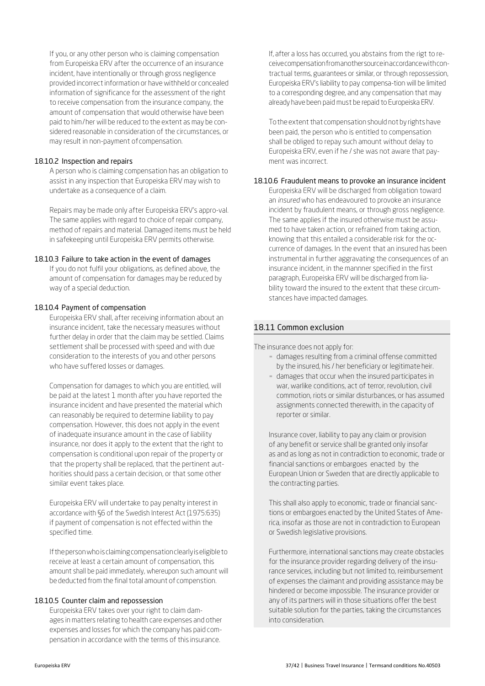If you, or any other person who is claiming compensation from Europeiska ERV after the occurrence of an insurance incident, have intentionally or through gross negligence provided incorrect information or have withheld or concealed information of significance for the assessment of the right to receive compensation from the insurance company, the amount of compensation that would otherwise have been paid to him / her will be reduced to the extent as may be considered reasonable in consideration of the circumstances, or may result in non-payment ofcompensation.

#### 18.10.2 Inspection and repairs

A person who is claiming compensation has an obligation to assist in any inspection that Europeiska ERV may wish to undertake as a consequence of a claim.

Repairs may be made only after Europeiska ERV's appro-val. The same applies with regard to choice of repair company, method of repairs and material. Damaged items must be held in safekeeping until Europeiska ERV permits otherwise.

#### 18.10.3 Failure to take action in the event of damages

If you do not fulfil your obligations, as defined above, the amount of compensation for damages may be reduced by way of a special deduction.

#### 18.10.4 Payment of compensation

Europeiska ERV shall, after receiving information about an insurance incident, take the necessary measures without further delay in order that the claim may be settled. Claims settlement shall be processed with speed and with due consideration to the interests of you and other persons who have suffered losses or damages.

Compensation for damages to which you are entitled, will be paid at the latest 1 month after you have reported the insurance incident and have presented the material which can reasonably be required to determine liability to pay compensation. However, this does not apply in the event of inadequate insurance amount in the case of liability insurance, nor does it apply to the extent that the right to compensation is conditional upon repair of the property or that the property shall be replaced, that the pertinent authorities should pass a certain decision, or that some other similar event takes place.

Europeiska ERV will undertake to pay penalty interest in accordance with §6 of the Swedish Interest Act (1975:635) if payment of compensation is not effected within the specified time.

Ifthepersonwhoisclaimingcompensationclearlyiseligibleto receive at least a certain amount of compensation, this amount shall be paid immediately, whereupon such amount will be deducted from the final total amount of compenstion.

#### 18.10.5 Counter claim and repossession

Europeiska ERV takes over your right to claim damages in matters relating to health care expenses and other expenses and losses for which the company has paid compensation in accordance with the terms of this insurance.

If, after a loss has occurred, you abstains from the rigt to receivecompensationfromanothersourceinaccordancewithcontractual terms, guarantees or similar, or through repossession, Europeiska ERV's liability to pay compensa-tion will be limited to a corresponding degree, and any compensation that may already have been paid must be repaid to Europeiska ERV.

To the extent that compensation should not by rights have been paid, the person who is entitled to compensation shall be obliged to repay such amount without delay to Europeiska ERV, even if he / she was not aware that payment was incorrect.

#### 18.10.6 Fraudulent means to provoke an insurance incident

Europeiska ERV will be discharged from obligation toward an *insured* who has endeavoured to provoke an insurance incident by fraudulent means, or through gross negligence. The same applies if the insured otherwise must be assumed to have taken action, or refrained from taking action, knowing that this entailed a considerable risk for the occurrence of damages. In the event that an insured has been instrumental in further aggravating the consequences of an insurance incident, in the mannner specified in the first paragraph, Europeiska ERV will be discharged from liability toward the insured to the extent that these circumstances have impacted damages.

### 18.11 Common exclusion

The insurance does not apply for:

- **damages resulting from a criminal offense committed** by the insured, his / her beneficiary or legitimate heir.
- **EX damages that occur when the insured participates in** war, warlike conditions, act of terror, revolution, civil commotion, riots or similar disturbances, or has assumed assignments connected therewith, in the capacity of reporter or similar.

Insurance cover, liability to pay any claim or provision of any benefit or service shall be granted only insofar as and as long as not in contradiction to economic, trade or financial sanctions or embargoes enacted by the European Union or Sweden that are directly applicable to the contracting parties.

This shall also apply to economic, trade or financial sanctions or embargoes enacted by the United States of America, insofar as those are not in contradiction to European or Swedish legislative provisions.

Furthermore, international sanctions may create obstacles for the insurance provider regarding delivery of the insurance services, including but not limited to, reimbursement of expenses the claimant and providing assistance may be hindered or become impossible. The insurance provider or any of its partners will in those situations offer the best suitable solution for the parties, taking the circumstances into consideration.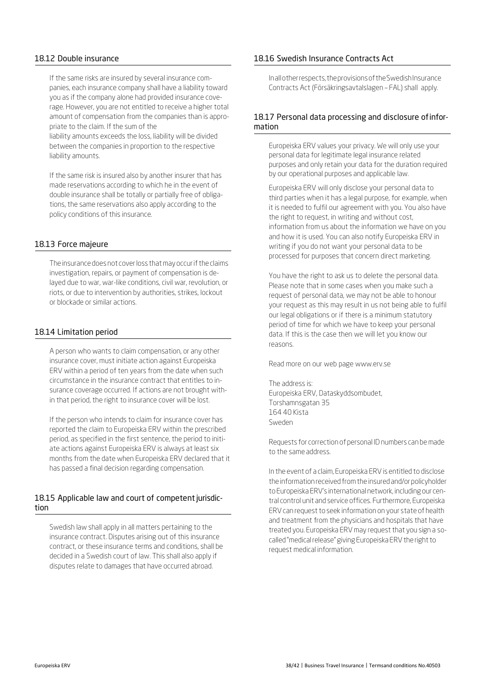#### 18.12 Double insurance

If the same risks are insured by several insurance companies, each insurance company shall have a liability toward you as if the company alone had provided insurance coverage. However, you are not entitled to receive a higher total amount of compensation from the companies than is appropriate to the claim. If the sum of the

liability amounts exceeds the loss, liability will be divided between the companies in proportion to the respective liability amounts.

If the same risk is insured also by another insurer that has made reservations according to which he in the event of double insurance shall be totally or partially free of obligations, the same reservations also apply according to the policy conditions of this insurance.

# 18.13 Force majeure

The insurance does not cover loss that may occur if the claims investigation, repairs, or payment of compensation is delayed due to war, war-like conditions, civil war, revolution, or riots, or due to intervention by authorities, strikes, lockout or blockade or similar actions.

#### 18.14 Limitation period

A person who wants to claim compensation, or any other insurance cover, must initiate action against Europeiska ERV within a period of ten years from the date when such circumstance in the insurance contract that entitles to insurance coverage occurred. If actions are not brought within that period, the right to insurance cover will be lost.

If the person who intends to claim for insurance cover has reported the claim to Europeiska ERV within the prescribed period, as specified in the first sentence, the period to initiate actions against Europeiska ERV is always at least six months from the date when Europeiska ERV declared that it has passed a final decision regarding compensation.

#### 18.15 Applicable law and court of competent jurisdiction

Swedish law shall apply in all matters pertaining to the insurance contract. Disputes arising out of this insurance contract, or these insurance terms and conditions, shall be decided in a Swedish court of law. This shall also apply if disputes relate to damages that have occurred abroad.

#### 18.16 Swedish Insurance Contracts Act

Inallotherrespects,theprovisionsoftheSwedishInsurance Contracts Act (Försäkringsavtalslagen – FAL) shall apply.

# 18.17 Personal data processing and disclosure ofinformation

Europeiska ERV values your privacy. We will only use your personal data for legitimate legal insurance related purposes and only retain your data for the duration required by our operational purposes and applicable law.

Europeiska ERV will only disclose your personal data to third parties when it has a legal purpose, for example, when it is needed to fulfil our agreement with you. You also have the right to request, in writing and without cost, information from us about the information we have on you and how it is used. You can also notify Europeiska ERV in writing if you do not want your personal data to be processed for purposes that concern direct marketing.

You have the right to ask us to delete the personal data. Please note that in some cases when you make such a request of personal data, we may not be able to honour your request as this may result in us not being able to fulfil our legal obligations or if there is a minimum statutory period of time for which we have to keep your personal data. If this is the case then we will let you know our reasons.

Read more on our web page www.erv.se

The address is: Europeiska ERV, Dataskyddsombudet, Torshamnsgatan 35 164 40 Kista Sweden

Requests for correction of personal ID numbers can be made to the same address.

In the event of a claim, Europeiska ERV is entitled to disclose the information received from the insured and/or policyholder to Europeiska ERV's international network, including our central control unit and service offices. Furthermore, Europeiska ERV can request to seek information on your state of health and treatment from the physicians and hospitals that have treated you. Europeiska ERV may request that you sign a socalled "medical release" giving Europeiska ERV the right to request medical information.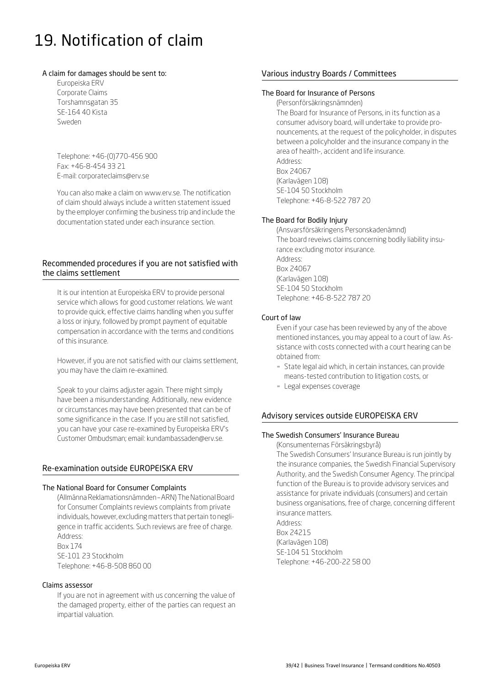# 19. Notification of claim

#### A claim for damages should be sent to:

Europeiska ERV Corporate Claims Torshamnsgatan 35 SE-164 40 Kista Sweden

Telephone: +46-(0)770-456 900 Fax: +46-8-454 33 21 E-mail: corporateclaims@erv.se

You can [also make a claim](mailto:corporateclaims@erv.se) [on www.erv.se.](https://www.erv.se/foretag/anmal-skada-foretag/) The notification of claim should always include a written statement issued by the employer confirming the business trip and include the documentation stated under each insurance section.

# Recommended procedures if you are not satisfied with the claims settlement

It is our intention at Europeiska ERV to provide personal service which allows for good customer relations. We want to provide quick, effective claims handling when you suffer a loss or injury, followed by prompt payment of equitable compensation in accordance with the terms and conditions of this insurance.

However, if you are not satisfied with our claims settlement, you may have the claim re-examined.

Speak to your claims adjuster again. There might simply have been a misunderstanding. Additionally, new evidence or circumstances may have been presented that can be of some significance in the case. If you are still not satisfied, you can have your case re-examined by Europeiska ERV's Customer Ombudsman; email[: kundambassaden@erv.se.](mailto:kundambassaden@erv.se)

# Re-examination outside EUROPEISKA ERV

#### The National Board for Consumer Complaints

(Allmänna Reklamationsnämnden - ARN) The National Board for Consumer Complaints reviews complaints from private individuals, however, excluding matters that pertain to negligence in traffic accidents. Such reviews are free of charge. Address: Box 174 SE-101 23 Stockholm

Telephone: +46-8-508 860 00

#### Claims assessor

If you are not in agreement with us concerning the value of the damaged property, either of the parties can request an impartial valuation.

# Various industry Boards / Committees

#### The Board for Insurance of Persons

(Personförsäkringsnämnden) The Board for Insurance of Persons, in its function as a consumer advisory board, will undertake to provide pronouncements, at the request of the policyholder, in disputes between a policyholder and the insurance company in the area of health-, accident and life insurance.

Address: Box 24067 (Karlavägen 108) SE-104 50 Stockholm Telephone: +46-8-522 787 20

# The Board for Bodily Injury

(Ansvarsförsäkringens Personskadenämnd) The board reveiws claims concerning bodily liability insurance excluding motor insurance. Address: Box 24067 (Karlavägen 108) SE-104 50 Stockholm Telephone: +46-8-522 787 20

#### Court of law

Even if your case has been reviewed by any of the above mentioned instances, you may appeal to a court of law. Assistance with costs connected with a court hearing can be obtained from:

- **EXT** State legal aid which, in certain instances, can provide means-tested contribution to litigation costs, or
- Legal expenses coverage

# Advisory services outside EUROPEISKA ERV

# The Swedish Consumers' Insurance Bureau

(Konsumenternas Försäkringsbyrå)

The Swedish Consumers' Insurance Bureau is run jointly by the insurance companies, the Swedish Financial Supervisory Authority, and the Swedish Consumer Agency. The principal function of the Bureau is to provide advisory services and assistance for private individuals (consumers) and certain business organisations, free of charge, concerning different insurance matters.

Address: Box 24215 (Karlavägen 108) SE-104 51 Stockholm Telephone: +46-200-22 58 00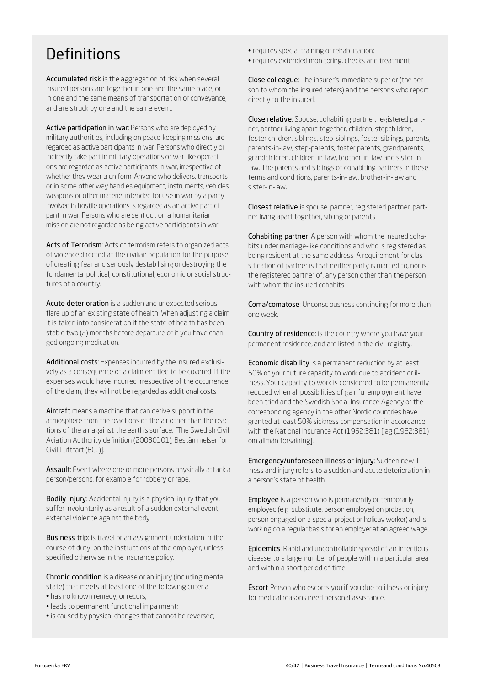# **Definitions**

Accumulated risk is the aggregation of risk when several insured persons are together in one and the same place, or in one and the same means of transportation or conveyance, and are struck by one and the same event.

Active participation in war: Persons who are deployed by military authorities, including on peace-keeping missions, are regarded as active participants in war. Persons who directly or indirectly take part in military operations or war-like operations are regarded as active participants in war, irrespective of whether they wear a uniform. Anyone who delivers, transports or in some other way handles equipment, instruments, vehicles, weapons or other materiel intended for use in war by a party involved in hostile operations is regarded as an active participant in war. Persons who are sent out on a humanitarian mission are not regarded as being active participants in war.

Acts of Terrorism: Acts of terrorism refers to organized acts of violence directed at the civilian population for the purpose of creating fear and seriously destabilising or destroying the fundamental political, constitutional, economic or social structures of a country.

Acute deterioration is a sudden and unexpected serious flare up of an existing state of health. When adjusting a claim it is taken into consideration if the state of health has been stable two (2) months before departure or if you have changed ongoing medication.

Additional costs: Expenses incurred by the insured exclusively as a consequence of a claim entitled to be covered. If the expenses would have incurred irrespective of the occurrence of the claim, they will not be regarded as additional costs.

Aircraft means a machine that can derive support in the atmosphere from the reactions of the air other than the reactions of the air against the earth's surface. [The Swedish Civil Aviation Authority definition (20030101), Bestämmelser för Civil Luftfart (BCL)].

Assault: Event where one or more persons physically attack a person/persons, for example for robbery or rape.

Bodily injury: Accidental injury is a physical injury that you suffer involuntarily as a result of a sudden external event, external violence against the body.

Business trip: is travel or an assignment undertaken in the course of duty, on the instructions of the employer, unless specified otherwise in the insurance policy.

Chronic condition is a disease or an injury (including mental state) that meets at least one of the following criteria:

- has no known remedy, or recurs;
- leads to permanent functional impairment;
- is caused by physical changes that cannot be reversed;
- requires special training or rehabilitation;
- requires extended monitoring, checks and treatment

Close colleague: The insurer's immediate superior (the person to whom the insured refers) and the persons who report directly to the insured.

Close relative: Spouse, cohabiting partner, registered partner, partner living apart together, children, stepchildren, foster children, siblings, step-siblings, foster siblings, parents, parents-in-law, step-parents, foster parents, grandparents, grandchildren, children-in-law, brother-in-law and sister-inlaw. The parents and siblings of cohabiting partners in these terms and conditions, parents-in-law, brother-in-law and sister-in-law.

Closest relative is spouse, partner, registered partner, partner living apart together, sibling or parents.

Cohabiting partner: A person with whom the insured cohabits under marriage-like conditions and who is registered as being resident at the same address. A requirement for classification of partner is that neither party is married to, nor is the registered partner of, any person other than the person with whom the insured cohabits.

Coma/comatose: Unconsciousness continuing for more than one week.

Country of residence: is the country where you have your permanent residence, and are listed in the civil registry.

Economic disability is a permanent reduction by at least 50% of your future capacity to work due to accident or illness. Your capacity to work is considered to be permanently reduced when all possibilities of gainful employment have been tried and the Swedish Social Insurance Agency or the corresponding agency in the other Nordic countries have granted at least 50% sickness compensation in accordance with the National Insurance Act (1962:381) [lag (1962:381) om allmän försäkring].

Emergency/unforeseen illness or injury: Sudden new illness and injury refers to a sudden and acute deterioration in a person's state of health.

**Employee** is a person who is permanently or temporarily employed (e.g. substitute, person employed on probation, person engaged on a special project or holiday worker) and is working on a regular basis for an employer at an agreed wage.

Epidemics: Rapid and uncontrollable spread of an infectious disease to a large number of people within a particular area and within a short period of time.

Escort Person who escorts you if you due to illness or injury for medical reasons need personal assistance.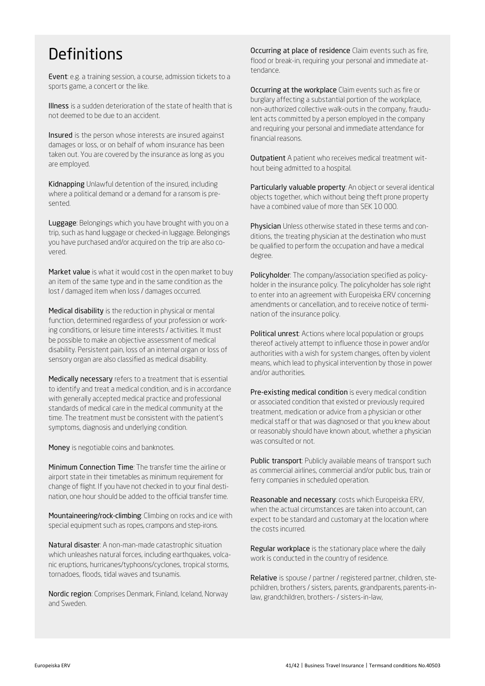# **Definitions**

Event: e.g. a training session, a course, admission tickets to a sports game, a concert or the like.

Illness is a sudden deterioration of the state of health that is not deemed to be due to an accident.

Insured is the person whose interests are insured against damages or loss, or on behalf of whom insurance has been taken out. You are covered by the insurance as long as you are employed.

Kidnapping Unlawful detention of the insured, including where a political demand or a demand for a ransom is presented.

Luggage: Belongings which you have brought with you on a trip, such as hand luggage or checked-in luggage. Belongings you have purchased and/or acquired on the trip are also covered.

Market value is what it would cost in the open market to buy an item of the same type and in the same condition as the lost / damaged item when loss / damages occurred.

Medical disability is the reduction in physical or mental function, determined regardless of your profession or working conditions, or leisure time interests / activities. It must be possible to make an objective assessment of medical disability. Persistent pain, loss of an internal organ or loss of sensory organ are also classified as medical disability.

Medically necessary refers to a treatment that is essential to identify and treat a medical condition, and is in accordance with generally accepted medical practice and professional standards of medical care in the medical community at the time. The treatment must be consistent with the patient's symptoms, diagnosis and underlying condition.

Money is negotiable coins and banknotes.

Minimum Connection Time: The transfer time the airline or airport state in their timetables as minimum requirement for change of flight. If you have not checked in to your final destination, one hour should be added to the official transfer time.

Mountaineering/rock-climbing: Climbing on rocks and ice with special equipment such as ropes, crampons and step-irons.

Natural disaster: A non-man-made catastrophic situation which unleashes natural forces, including earthquakes, volcanic eruptions, hurricanes/typhoons/cyclones, tropical storms, tornadoes, floods, tidal waves and tsunamis.

Nordic region: Comprises Denmark, Finland, Iceland, Norway and Sweden.

Occurring at place of residence Claim events such as fire, flood or break-in, requiring your personal and immediate attendance.

Occurring at the workplace Claim events such as fire or burglary affecting a substantial portion of the workplace, non-authorized collective walk-outs in the company, fraudulent acts committed by a person employed in the company and requiring your personal and immediate attendance for financial reasons.

**Outpatient** A patient who receives medical treatment without being admitted to a hospital.

Particularly valuable property: An object or several identical objects together, which without being theft prone property have a combined value of more than SEK 10 000.

Physician Unless otherwise stated in these terms and conditions, the treating physician at the destination who must be qualified to perform the occupation and have a medical degree.

Policyholder: The company/association specified as policyholder in the insurance policy. The policyholder has sole right to enter into an agreement with Europeiska ERV concerning amendments or cancellation, and to receive notice of termination of the insurance policy.

Political unrest: Actions where local population or groups thereof actively attempt to influence those in power and/or authorities with a wish for system changes, often by violent means, which lead to physical intervention by those in power and/or authorities.

Pre-existing medical condition is every medical condition or associated condition that existed or previously required treatment, medication or advice from a physician or other medical staff or that was diagnosed or that you knew about or reasonably should have known about, whether a physician was consulted or not.

Public transport: Publicly available means of transport such as commercial airlines, commercial and/or public bus, train or ferry companies in scheduled operation.

Reasonable and necessary: costs which Europeiska ERV, when the actual circumstances are taken into account, can expect to be standard and customary at the location where the costs incurred.

Regular workplace is the stationary place where the daily work is conducted in the country of residence.

Relative is spouse / partner / registered partner, children, stepchildren, brothers / sisters, parents, grandparents, parents-inlaw, grandchildren, brothers- / sisters-in-law,